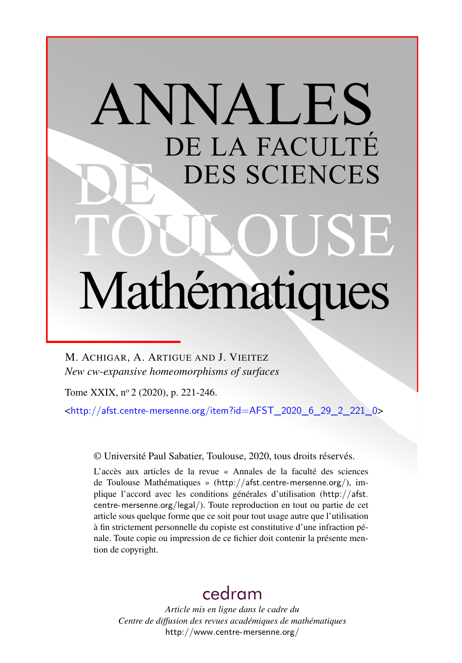# ANNALES DE LA FACULTÉ DES SCIENCES Mathématiques

M. ACHIGAR, A. ARTIGUE AND J. VIEITEZ *New cw-expansive homeomorphisms of surfaces*

Tome XXIX, nº 2 (2020), p. 221-246.

<[http://afst.centre-mersenne.org/item?id=AFST\\_2020\\_6\\_29\\_2\\_221\\_0](http://afst.centre-mersenne.org/item?id=AFST_2020_6_29_2_221_0)>

© Université Paul Sabatier, Toulouse, 2020, tous droits réservés.

L'accès aux articles de la revue « Annales de la faculté des sciences de Toulouse Mathématiques » (<http://afst.centre-mersenne.org/>), implique l'accord avec les conditions générales d'utilisation ([http://afst.](http://afst.centre-mersenne.org/legal/) [centre-mersenne.org/legal/](http://afst.centre-mersenne.org/legal/)). Toute reproduction en tout ou partie de cet article sous quelque forme que ce soit pour tout usage autre que l'utilisation à fin strictement personnelle du copiste est constitutive d'une infraction pénale. Toute copie ou impression de ce fichier doit contenir la présente mention de copyright.

## [cedram](http://www.centre-mersenne.org/)

*Article mis en ligne dans le cadre du Centre de diffusion des revues académiques de mathématiques* <http://www.centre-mersenne.org/>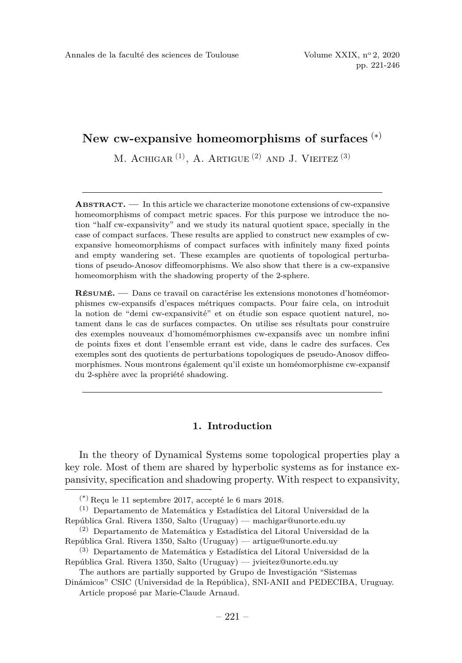### **New cw-expansive homeomorphisms of surfaces** (∗)

M. ACHIGAR  $(1)$ , A. ARTIGUE  $(2)$  AND J. VIEITEZ  $(3)$ 

**ABSTRACT. —** In this article we characterize monotone extensions of cw-expansive homeomorphisms of compact metric spaces. For this purpose we introduce the notion "half cw-expansivity" and we study its natural quotient space, specially in the case of compact surfaces. These results are applied to construct new examples of cwexpansive homeomorphisms of compact surfaces with infinitely many fixed points and empty wandering set. These examples are quotients of topological perturbations of pseudo-Anosov diffeomorphisms. We also show that there is a cw-expansive homeomorphism with the shadowing property of the 2-sphere.

**RÉSUMÉ. —** Dans ce travail on caractérise les extensions monotones d'homéomorphismes cw-expansifs d'espaces métriques compacts. Pour faire cela, on introduit la notion de "demi cw-expansivité" et on étudie son espace quotient naturel, notament dans le cas de surfaces compactes. On utilise ses résultats pour construire des exemples nouveaux d'homomémorphismes cw-expansifs avec un nombre infini de points fixes et dont l'ensemble errant est vide, dans le cadre des surfaces. Ces exemples sont des quotients de perturbations topologiques de pseudo-Anosov diffeomorphismes. Nous montrons également qu'il existe un homéomorphisme cw-expansif du 2-sphère avec la propriété shadowing.

#### **1. Introduction**

In the theory of Dynamical Systems some topological properties play a key role. Most of them are shared by hyperbolic systems as for instance expansivity, specification and shadowing property. With respect to expansivity,

<sup>(\*)</sup> Reçu le 11 septembre 2017, accepté le 6 mars 2018.

<sup>(1)</sup> Departamento de Matemática y Estadística del Litoral Universidad de la República Gral. Rivera 1350, Salto (Uruguay) — [machigar@unorte.edu.uy](mailto:machigar@unorte.edu.uy)

<sup>(2)</sup> Departamento de Matemática y Estadística del Litoral Universidad de la República Gral. Rivera 1350, Salto (Uruguay) — [artigue@unorte.edu.uy](mailto:artigue@unorte.edu.uy)

<sup>(3)</sup> Departamento de Matemática y Estadística del Litoral Universidad de la República Gral. Rivera 1350, Salto (Uruguay) — [jvieitez@unorte.edu.uy](mailto:jvieitez@unorte.edu.uy)

The authors are partially supported by Grupo de Investigación "Sistemas Dinámicos" CSIC (Universidad de la República), SNI-ANII and PEDECIBA, Uruguay.

Article proposé par Marie-Claude Arnaud.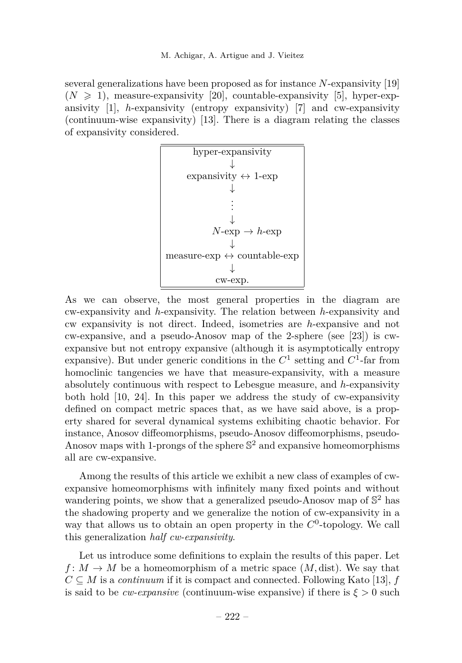several generalizations have been proposed as for instance *N*-expansivity [\[19\]](#page-25-0)  $(N \geq 1)$ , measure-expansivity [\[20\]](#page-26-0), countable-expansivity [\[5\]](#page-25-1), hyper-expansivity [\[1\]](#page-25-2), *h*-expansivity (entropy expansivity) [\[7\]](#page-25-3) and cw-expansivity (continuum-wise expansivity) [\[13\]](#page-25-4). There is a diagram relating the classes of expansivity considered.



As we can observe, the most general properties in the diagram are cw-expansivity and *h*-expansivity. The relation between *h*-expansivity and cw expansivity is not direct. Indeed, isometries are *h*-expansive and not cw-expansive, and a pseudo-Anosov map of the 2-sphere (see [\[23\]](#page-26-1)) is cwexpansive but not entropy expansive (although it is asymptotically entropy expansive). But under generic conditions in the  $C^1$  setting and  $C^1$ -far from homoclinic tangencies we have that measure-expansivity, with a measure absolutely continuous with respect to Lebesgue measure, and *h*-expansivity both hold [\[10,](#page-25-5) [24\]](#page-26-2). In this paper we address the study of cw-expansivity defined on compact metric spaces that, as we have said above, is a property shared for several dynamical systems exhibiting chaotic behavior. For instance, Anosov diffeomorphisms, pseudo-Anosov diffeomorphisms, pseudo-Anosov maps with 1-prongs of the sphere S <sup>2</sup> and expansive homeomorphisms all are cw-expansive.

Among the results of this article we exhibit a new class of examples of cwexpansive homeomorphisms with infinitely many fixed points and without wandering points, we show that a generalized pseudo-Anosov map of  $\mathbb{S}^2$  has the shadowing property and we generalize the notion of cw-expansivity in a way that allows us to obtain an open property in the  $C^0$ -topology. We call this generalization *half cw-expansivity*.

Let us introduce some definitions to explain the results of this paper. Let  $f: M \to M$  be a homeomorphism of a metric space  $(M, dist)$ . We say that  $C \subseteq M$  is a *continuum* if it is compact and connected. Following Kato [\[13\]](#page-25-4), *f* is said to be  $cw$ -expansive (continuum-wise expansive) if there is  $\xi > 0$  such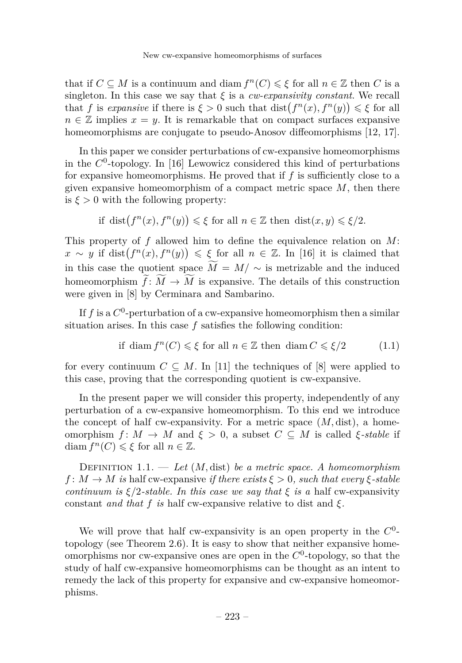that if  $C \subseteq M$  is a continuum and diam  $f^{n}(C) \leq \xi$  for all  $n \in \mathbb{Z}$  then *C* is a singleton. In this case we say that  $\xi$  is a *cw-expansivity constant*. We recall that *f* is *expansive* if there is  $\xi > 0$  such that  $dist(f^{n}(x), f^{n}(y)) \leq \xi$  for all  $n \in \mathbb{Z}$  implies  $x = y$ . It is remarkable that on compact surfaces expansive homeomorphisms are conjugate to pseudo-Anosov diffeomorphisms [\[12,](#page-25-6) [17\]](#page-25-7).

In this paper we consider perturbations of cw-expansive homeomorphisms in the *C* 0 -topology. In [\[16\]](#page-25-8) Lewowicz considered this kind of perturbations for expansive homeomorphisms. He proved that if *f* is sufficiently close to a given expansive homeomorphism of a compact metric space *M*, then there is  $\xi > 0$  with the following property:

if 
$$
dist(f^{n}(x), f^{n}(y)) \leq \xi
$$
 for all  $n \in \mathbb{Z}$  then  $dist(x, y) \leq \xi/2$ .

This property of *f* allowed him to define the equivalence relation on *M*:  $x \sim y$  if dist $(f^n(x), f^n(y)) \leq \xi$  for all  $n \in \mathbb{Z}$ . In [\[16\]](#page-25-8) it is claimed that in this case the quotient space  $\widetilde{M} = M / \sim$  is metrizable and the induced homeomorphism  $\widetilde{f}: \widetilde{M} \to \widetilde{M}$  is expansive. The details of this construction were given in [\[8\]](#page-25-9) by Cerminara and Sambarino.

If  $f$  is a  $C^0$ -perturbation of a cw-expansive homeomorphism then a similar situation arises. In this case *f* satisfies the following condition:

if diam 
$$
f^{n}(C) \leq \xi
$$
 for all  $n \in \mathbb{Z}$  then diam  $C \leq \xi/2$  (1.1)

for every continuum  $C \subseteq M$ . In [\[11\]](#page-25-10) the techniques of [\[8\]](#page-25-9) were applied to this case, proving that the corresponding quotient is cw-expansive.

In the present paper we will consider this property, independently of any perturbation of a cw-expansive homeomorphism. To this end we introduce the concept of half cw-expansivity. For a metric space  $(M, dist)$ , a homeomorphism  $f: M \to M$  and  $\xi > 0$ , a subset  $C \subseteq M$  is called  $\xi$ -stable if diam  $f^{n}(C) \leq \xi$  for all  $n \in \mathbb{Z}$ .

<span id="page-3-0"></span>Definition 1.1. — *Let* (*M,* dist) *be a metric space. A homeomorphism*  $f: M \to M$  *is* half cw-expansive *if there exists*  $\xi > 0$ *, such that every*  $\xi$ -stable *continuum is*  $\xi/2$ *-stable. In this case we say that*  $\xi$  *is a* half cw-expansivity constant *and that*  $f$  *is* half cw-expansive relative to dist and  $\xi$ .

We will prove that half cw-expansivity is an open property in the  $C^0$ topology (see Theorem [2.6\)](#page-7-0). It is easy to show that neither expansive homeomorphisms nor cw-expansive ones are open in the  $C<sup>0</sup>$ -topology, so that the study of half cw-expansive homeomorphisms can be thought as an intent to remedy the lack of this property for expansive and cw-expansive homeomorphisms.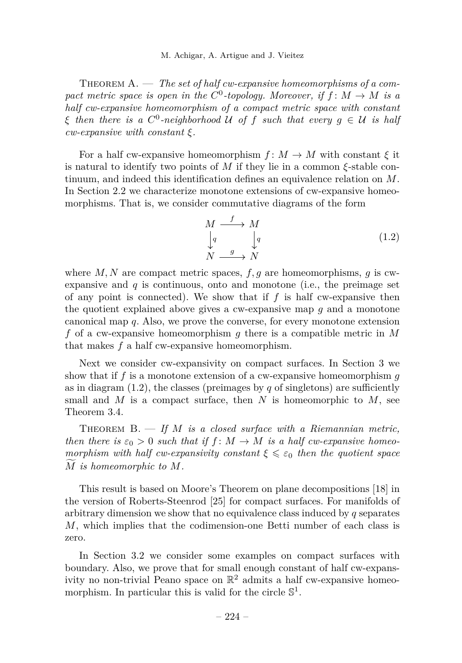<span id="page-4-1"></span>THEOREM A. — The set of half cw-expansive homeomorphisms of a compact metric space is open in the  $C^0$ -topology. Moreover, if  $f: M \to M$  is a *half cw-expansive homeomorphism of a compact metric space with constant ξ then there is a C* 0 *-neighborhood* U *of f such that every g* ∈ U *is half cw-expansive with constant ξ.*

For a half cw-expansive homeomorphism  $f: M \to M$  with constant  $\xi$  it is natural to identify two points of *M* if they lie in a common *ξ*-stable continuum, and indeed this identification defines an equivalence relation on *M*. In Section [2.2](#page-9-0) we characterize monotone extensions of cw-expansive homeomorphisms. That is, we consider commutative diagrams of the form

<span id="page-4-0"></span>
$$
\begin{array}{ccc}\nM & \xrightarrow{f} & M \\
\downarrow{q} & & \downarrow{q} \\
N & \xrightarrow{g} & N\n\end{array} \tag{1.2}
$$

where  $M, N$  are compact metric spaces,  $f, g$  are homeomorphisms,  $g$  is cwexpansive and  $q$  is continuous, onto and monotone (i.e., the preimage set of any point is connected). We show that if *f* is half cw-expansive then the quotient explained above gives a cw-expansive map *g* and a monotone canonical map *q*. Also, we prove the converse, for every monotone extension *f* of a cw-expansive homeomorphism *g* there is a compatible metric in *M* that makes *f* a half cw-expansive homeomorphism.

Next we consider cw-expansivity on compact surfaces. In Section [3](#page-13-0) we show that if *f* is a monotone extension of a cw-expansive homeomorphism *g* as in diagram  $(1.2)$ , the classes (preimages by *q* of singletons) are sufficiently small and  $M$  is a compact surface, then  $N$  is homeomorphic to  $M$ , see Theorem [3.4.](#page-14-0)

<span id="page-4-2"></span>Theorem B. — *If M is a closed surface with a Riemannian metric, then there is*  $\varepsilon_0 > 0$  *such that if*  $f : M \to M$  *is a half cw-expansive homeomorphism with half cw-expansivity constant*  $\xi \leq \varepsilon_0$  *then the quotient space <sup>M</sup>*<sup>f</sup> *is homeomorphic to <sup>M</sup>.*

This result is based on Moore's Theorem on plane decompositions [\[18\]](#page-25-11) in the version of Roberts-Steenrod [\[25\]](#page-26-3) for compact surfaces. For manifolds of arbitrary dimension we show that no equivalence class induced by *q* separates *M*, which implies that the codimension-one Betti number of each class is zero.

In Section [3.2](#page-16-0) we consider some examples on compact surfaces with boundary. Also, we prove that for small enough constant of half cw-expansivity no non-trivial Peano space on  $\mathbb{R}^2$  admits a half cw-expansive homeomorphism. In particular this is valid for the circle  $\mathbb{S}^1$ .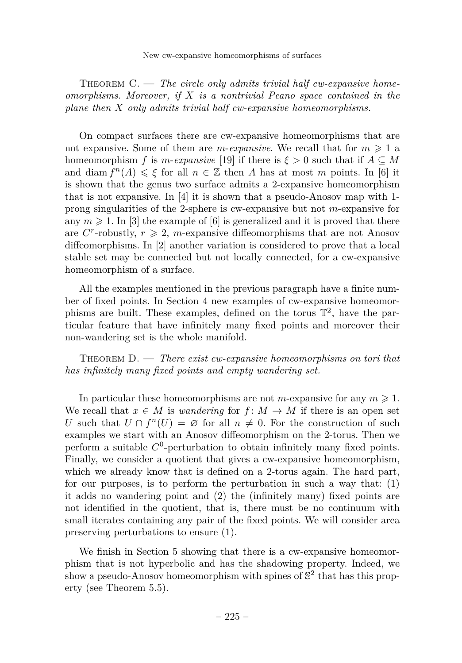New cw-expansive homeomorphisms of surfaces

<span id="page-5-0"></span>THEOREM C. — The circle only admits trivial half cw-expansive home*omorphisms. Moreover, if X is a nontrivial Peano space contained in the plane then X only admits trivial half cw-expansive homeomorphisms.*

On compact surfaces there are cw-expansive homeomorphisms that are not expansive. Some of them are *m-expansive*. We recall that for  $m \geq 1$  a homeomorphism *f* is *m*-*expansive* [\[19\]](#page-25-0) if there is  $\xi > 0$  such that if  $A \subseteq M$ and diam  $f^{n}(A) \leq \xi$  for all  $n \in \mathbb{Z}$  then *A* has at most *m* points. In [\[6\]](#page-25-12) it is shown that the genus two surface admits a 2-expansive homeomorphism that is not expansive. In [\[4\]](#page-25-13) it is shown that a pseudo-Anosov map with 1 prong singularities of the 2-sphere is cw-expansive but not *m*-expansive for any  $m \geq 1$ . In [\[3\]](#page-25-14) the example of [\[6\]](#page-25-12) is generalized and it is proved that there are  $C^r$ -robustly,  $r \geq 2$ , *m*-expansive diffeomorphisms that are not Anosov diffeomorphisms. In [\[2\]](#page-25-15) another variation is considered to prove that a local stable set may be connected but not locally connected, for a cw-expansive homeomorphism of a surface.

All the examples mentioned in the previous paragraph have a finite number of fixed points. In Section [4](#page-18-0) new examples of cw-expansive homeomorphisms are built. These examples, defined on the torus  $\mathbb{T}^2$ , have the particular feature that have infinitely many fixed points and moreover their non-wandering set is the whole manifold.

<span id="page-5-1"></span>Theorem D. — *There exist cw-expansive homeomorphisms on tori that has infinitely many fixed points and empty wandering set.*

In particular these homeomorphisms are not *m*-expansive for any  $m \geq 1$ . We recall that  $x \in M$  is *wandering* for  $f: M \to M$  if there is an open set *U* such that  $U \cap f^{n}(U) = \emptyset$  for all  $n \neq 0$ . For the construction of such examples we start with an Anosov diffeomorphism on the 2-torus. Then we perform a suitable *C* 0 -perturbation to obtain infinitely many fixed points. Finally, we consider a quotient that gives a cw-expansive homeomorphism, which we already know that is defined on a 2-torus again. The hard part, for our purposes, is to perform the perturbation in such a way that:  $(1)$ it adds no wandering point and (2) the (infinitely many) fixed points are not identified in the quotient, that is, there must be no continuum with small iterates containing any pair of the fixed points. We will consider area preserving perturbations to ensure (1).

We finish in Section [5](#page-22-0) showing that there is a cw-expansive homeomorphism that is not hyperbolic and has the shadowing property. Indeed, we show a pseudo-Anosov homeomorphism with spines of  $\mathbb{S}^2$  that has this property (see Theorem [5.5\)](#page-24-0).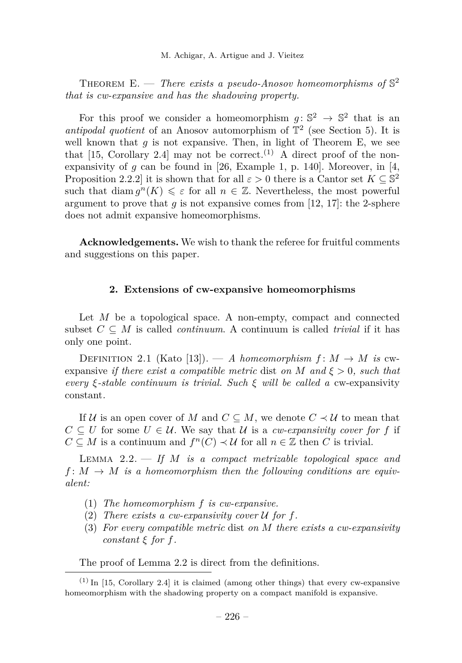<span id="page-6-0"></span>THEOREM E.  $-$  *There exists a pseudo-Anosov homeomorphisms of*  $\mathbb{S}^2$ *that is cw-expansive and has the shadowing property.*

For this proof we consider a homeomorphism  $g: \mathbb{S}^2 \to \mathbb{S}^2$  that is an *antipodal quotient* of an Anosov automorphism of  $\mathbb{T}^2$  (see Section [5\)](#page-22-0). It is well known that  $q$  is not expansive. Then, in light of Theorem [E,](#page-6-0) we see that [\[15,](#page-25-16) Corollary 2.4] may not be correct.<sup>(1)</sup> A direct proof of the nonexpansivity of  $q$  can be found in [\[26,](#page-26-4) Example 1, p. 140]. Moreover, in [\[4,](#page-25-13) Proposition 2.2.2] it is shown that for all  $\varepsilon > 0$  there is a Cantor set  $K \subseteq \mathbb{S}^2$ such that diam  $g^{n}(K) \leq \varepsilon$  for all  $n \in \mathbb{Z}$ . Nevertheless, the most powerful argument to prove that  $g$  is not expansive comes from [\[12,](#page-25-6) [17\]](#page-25-7): the 2-sphere does not admit expansive homeomorphisms.

**Acknowledgements.** We wish to thank the referee for fruitful comments and suggestions on this paper.

#### **2. Extensions of cw-expansive homeomorphisms**

<span id="page-6-2"></span>Let *M* be a topological space. A non-empty, compact and connected subset  $C \subseteq M$  is called *continuum*. A continuum is called *trivial* if it has only one point.

DEFINITION 2.1 (Kato [\[13\]](#page-25-4)). — *A homeomorphism*  $f: M \to M$  *is* cwexpansive *if there exist a compatible metric* dist *on*  $M$  *and*  $\xi > 0$ *, such that every ξ-stable continuum is trivial. Such ξ will be called a* cw-expansivity constant*.*

If U is an open cover of M and  $C \subseteq M$ , we denote  $C \prec U$  to mean that  $C \subseteq U$  for some  $U \in \mathcal{U}$ . We say that  $\mathcal{U}$  is a *cw-expansivity cover for* f if  $C \subseteq M$  is a continuum and  $f^{n}(C) \prec U$  for all  $n \in \mathbb{Z}$  then *C* is trivial.

<span id="page-6-1"></span>Lemma 2.2. — *If M is a compact metrizable topological space and*  $f: M \to M$  *is a homeomorphism then the following conditions are equivalent:*

- (1) *The homeomorphism f is cw-expansive.*
- (2) *There exists a cw-expansivity cover* U *for f.*
- (3) *For every compatible metric* dist *on M there exists a cw-expansivity*  $constant \xi$  *for*  $f$ *.*

The proof of Lemma [2.2](#page-6-1) is direct from the definitions.

 $(1)$  In [\[15,](#page-25-16) Corollary 2.4] it is claimed (among other things) that every cw-expansive homeomorphism with the shadowing property on a compact manifold is expansive.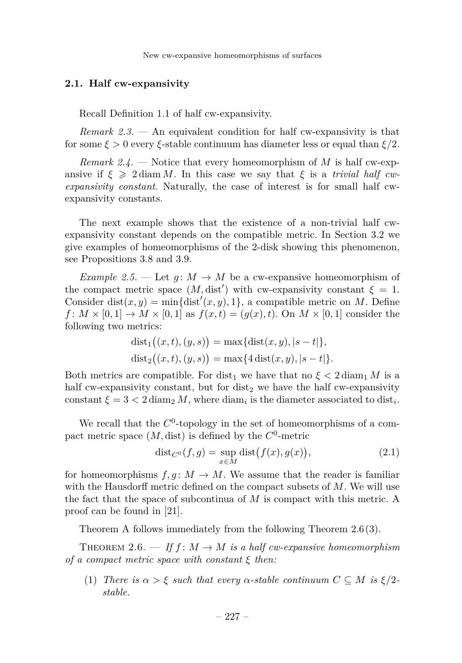New cw-expansive homeomorphisms of surfaces

#### **2.1. Half cw-expansivity**

Recall Definition [1.1](#page-3-0) of half cw-expansivity.

*Remark 2.3. —* An equivalent condition for half cw-expansivity is that for some *ξ >* 0 every *ξ*-stable continuum has diameter less or equal than *ξ/*2.

<span id="page-7-2"></span>*Remark 2.4. —* Notice that every homeomorphism of *M* is half cw-expansive if  $\xi \geq 2 \text{diam } M$ . In this case we say that  $\xi$  is a *trivial half cwexpansivity constant*. Naturally, the case of interest is for small half cwexpansivity constants.

The next example shows that the existence of a non-trivial half cwexpansivity constant depends on the compatible metric. In Section [3.2](#page-16-0) we give examples of homeomorphisms of the 2-disk showing this phenomenon, see Propositions [3.8](#page-16-1) and [3.9.](#page-16-2)

*Example 2.5.* — Let  $g: M \to M$  be a cw-expansive homeomorphism of the compact metric space  $(M, dist')$  with cw-expansivity constant  $\xi = 1$ . Consider dist $(x, y) = \min\{\text{dist}'(x, y), 1\}$ , a compatible metric on *M*. Define  $f: M \times [0,1] \to M \times [0,1]$  as  $f(x,t) = (g(x), t)$ . On  $M \times [0,1]$  consider the following two metrics:

$$
dist_1((x,t),(y,s)) = \max\{dist(x,y), |s-t|\},
$$
  

$$
dist_2((x,t),(y,s)) = \max\{4\,dist(x,y), |s-t|\}.
$$

Both metrics are compatible. For dist<sub>1</sub> we have that no  $\xi < 2 \text{ diam}_1 M$  is a half cw-expansivity constant, but for  $dist_2$  we have the half cw-expansivity constant  $\xi = 3 < 2 \, \text{diam}_2 M$ , where  $\text{diam}_i$  is the diameter associated to  $\text{dist}_i$ .

We recall that the  $C^0$ -topology in the set of homeomorphisms of a compact metric space  $(M, dist)$  is defined by the  $C^0$ -metric

<span id="page-7-3"></span>
$$
dist_{C^0}(f,g) = \sup_{x \in M} dist(f(x), g(x)), \qquad (2.1)
$$

for homeomorphisms  $f, g: M \to M$ . We assume that the reader is familiar with the Hausdorff metric defined on the compact subsets of *M*. We will use the fact that the space of subcontinua of *M* is compact with this metric. A proof can be found in [\[21\]](#page-26-5).

Theorem [A](#page-4-1) follows immediately from the following Theorem [2.6\(](#page-7-0)[3\)](#page-8-0).

<span id="page-7-0"></span>THEOREM 2.6. — If  $f: M \to M$  is a half cw-expansive homeomorphism *of a compact metric space with constant ξ then:*

<span id="page-7-1"></span>(1) *There is*  $\alpha > \xi$  *such that every*  $\alpha$ -*stable continuum*  $C \subseteq M$  *is*  $\xi/2$ *stable.*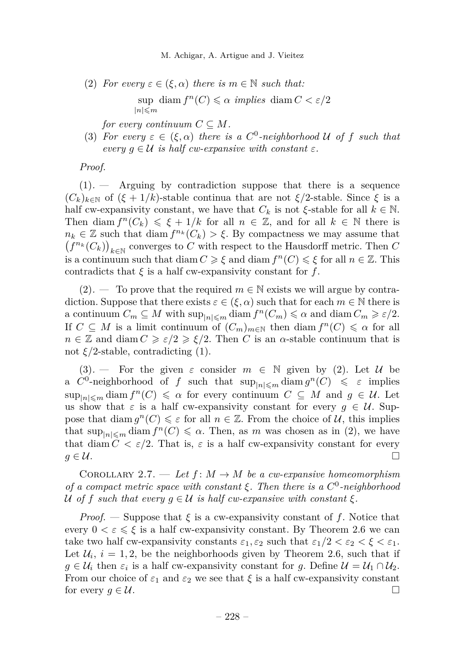M. Achigar, A. Artigue and J. Vieitez

<span id="page-8-1"></span>(2) *For every*  $\varepsilon \in (\xi, \alpha)$  *there is*  $m \in \mathbb{N}$  *such that:* 

 $\sup$  diam  $f^{n}(C) \leq \alpha$  *implies* diam  $C < \varepsilon/2$  $|n|\leqslant m$ 

*for every continuum*  $C \subseteq M$ .

<span id="page-8-0"></span>(3) *For every*  $\varepsilon \in (\xi, \alpha)$  *there is a*  $C^0$ -neighborhood U of f such that  $\forall$  *every*  $q \in \mathcal{U}$  *is half*  $\forall$ *cw*-expansive with constant  $\varepsilon$ *.* 

*Proof.*

[\(1\)](#page-7-1)*. —* Arguing by contradiction suppose that there is a sequence  $(C_k)_{k\in\mathbb{N}}$  of  $(\xi+1/k)$ -stable continua that are not  $\xi/2$ -stable. Since  $\xi$  is a half cw-expansivity constant, we have that  $C_k$  is not  $\xi$ -stable for all  $k \in \mathbb{N}$ . Then diam  $f^{n}(C_{k}) \leq \xi + 1/k$  for all  $n \in \mathbb{Z}$ , and for all  $k \in \mathbb{N}$  there is  $n_k \in \mathbb{Z}$  such that diam  $f^{n_k}(C_k) > \xi$ . By compactness we may assume that  $\left(f^{n_k}(C_k)\right)_{k\in\mathbb{N}}$  converges to  $C$  with respect to the Hausdorff metric. Then  $C$ is a continuum such that diam  $C \geq \xi$  and diam  $f^{n}(C) \leq \xi$  for all  $n \in \mathbb{Z}$ . This contradicts that  $\xi$  is a half cw-expansivity constant for  $f$ .

 $(2)$ . — To prove that the required  $m \in \mathbb{N}$  exists we will argue by contradiction. Suppose that there exists  $\varepsilon \in (\xi, \alpha)$  such that for each  $m \in \mathbb{N}$  there is a continuum  $C_m \subseteq M$  with  $\sup_{|n| \leq m} \text{diam } f^n(C_m) \leq \alpha$  and  $\text{diam } C_m \geq \varepsilon/2$ . If  $C \subseteq M$  is a limit continuum of  $(C_m)_{m \in \mathbb{N}}$  then diam  $f^n(C) \leq \alpha$  for all  $n \in \mathbb{Z}$  and diam  $C \geqslant \varepsilon/2 \geqslant \xi/2$ . Then *C* is an *α*-stable continuum that is not  $\xi/2$ -stable, contradicting [\(1\)](#page-7-1).

[\(3\)](#page-8-0). — For the given  $\varepsilon$  consider  $m \in \mathbb{N}$  given by [\(2\)](#page-8-1). Let U be a  $C^0$ -neighborhood of *f* such that  $\sup_{|n| \leq m} \text{diam } g^n(C) \leq \varepsilon$  implies  $\sup_{|n| \leq m} \text{diam } f^n(C) \leq \alpha$  for every continuum  $C \subseteq M$  and  $g \in \mathcal{U}$ . Let us show that  $\varepsilon$  is a half cw-expansivity constant for every  $g \in \mathcal{U}$ . Suppose that diam  $g^{n}(C) \leq \varepsilon$  for all  $n \in \mathbb{Z}$ . From the choice of  $\mathcal{U}$ , this implies that  $\sup_{|n| \leq m} \text{diam } f^n(C) \leq \alpha$ . Then, as *m* was chosen as in [\(2\)](#page-8-1), we have that diam  $C < \varepsilon/2$ . That is,  $\varepsilon$  is a half cw-expansivity constant for every  $g \in \mathcal{U}$ .

<span id="page-8-2"></span>COROLLARY 2.7. — Let  $f: M \to M$  be a cw-expansive homeomorphism *of a compact metric space with constant ξ. Then there is a C* 0 *-neighborhood* U of f such that every  $g \in U$  is half cw-expansive with constant  $\xi$ .

*Proof.* — Suppose that  $\xi$  is a cw-expansivity constant of f. Notice that every  $0 < \varepsilon \leq \xi$  is a half cw-expansivity constant. By Theorem [2.6](#page-7-0) we can take two half cw-expansivity constants  $\varepsilon_1, \varepsilon_2$  such that  $\varepsilon_1/2 < \varepsilon_2 < \xi < \varepsilon_1$ . Let  $\mathcal{U}_i$ ,  $i = 1, 2$ , be the neighborhoods given by Theorem [2.6,](#page-7-0) such that if  $g \in \mathcal{U}_i$  then  $\varepsilon_i$  is a half cw-expansivity constant for *g*. Define  $\mathcal{U} = \mathcal{U}_1 \cap \mathcal{U}_2$ . From our choice of  $\varepsilon_1$  and  $\varepsilon_2$  we see that  $\xi$  is a half cw-expansivity constant for every  $g \in \mathcal{U}$ .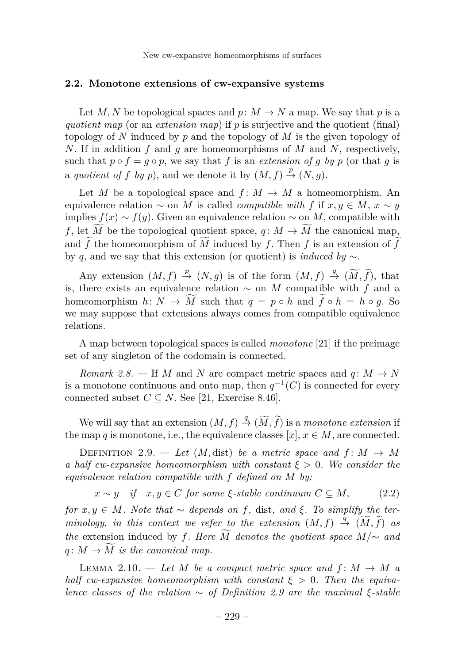New cw-expansive homeomorphisms of surfaces

#### <span id="page-9-0"></span>**2.2. Monotone extensions of cw-expansive systems**

Let *M*, *N* be topological spaces and  $p: M \to N$  a map. We say that *p* is a *quotient map* (or an *extension map*) if *p* is surjective and the quotient (final) topology of *N* induced by *p* and the topology of *M* is the given topology of *N*. If in addition *f* and *g* are homeomorphisms of *M* and *N*, respectively, such that  $p \circ f = g \circ p$ , we say that *f* is an *extension of g by p* (or that *g* is a *quotient of f by p*), and we denote it by  $(M, f) \stackrel{p}{\rightarrow} (N, g)$ .

Let *M* be a topological space and  $f: M \to M$  a homeomorphism. An equivalence relation  $\sim$  on *M* is called *compatible with f* if  $x, y \in M$ ,  $x \sim y$ implies  $f(x) \sim f(y)$ . Given an equivalence relation  $\sim$  on *M*, compatible with *f*, let  $\widetilde{M}$  be the topological quotient space, *q*:  $M \rightarrow \widetilde{M}$  the canonical map, and  $\widetilde{f}$  the homeomorphism of  $\widetilde{M}$  induced by  $f$ . Then  $f$  is an extension of  $\widetilde{f}$ by *q*, and we say that this extension (or quotient) is *induced by* ∼.

Any extension  $(M, f) \stackrel{p}{\rightarrow} (N, g)$  is of the form  $(M, f) \stackrel{q}{\rightarrow} (\widetilde{M}, \widetilde{f})$ , that is, there exists an equivalence relation ∼ on *M* compatible with *f* and a homeomorphism  $h: N \to \widetilde{M}$  such that  $q = p \circ h$  and  $\widetilde{f} \circ h = h \circ q$ . So we may suppose that extensions always comes from compatible equivalence relations.

A map between topological spaces is called *monotone* [\[21\]](#page-26-5) if the preimage set of any singleton of the codomain is connected.

<span id="page-9-3"></span>*Remark 2.8.* — If *M* and *N* are compact metric spaces and  $q: M \to N$ is a monotone continuous and onto map, then  $q^{-1}(C)$  is connected for every connected subset  $C \subseteq N$ . See [\[21,](#page-26-5) Exercise 8.46].

We will say that an extension  $(M, f) \stackrel{q}{\rightarrow} (\widetilde{M}, \widetilde{f})$  is a *monotone extension* if the map *q* is monotone, i.e., the equivalence classes  $[x]$ ,  $x \in M$ , are connected.

<span id="page-9-1"></span>DEFINITION 2.9. — Let  $(M, dist)$  be a metric space and  $f: M \rightarrow M$ *a half cw-expansive homeomorphism with constant ξ >* 0*. We consider the equivalence relation compatible with f defined on M by:*

$$
x \sim y
$$
 if  $x, y \in C$  for some  $\xi$ -stable continuum  $C \subseteq M$ , (2.2)

 $for x, y ∈ M$ *. Note that* ∼ *depends on f,* dist, and  $ξ$ *. To simplify the ter* $minology, in this context we refer to the extension  $(M, f) \stackrel{\tilde{q}}{\rightarrow} (\widetilde{M}, \widetilde{f})$  as$ *the* extension induced by *f. Here*  $\overline{M}$  *denotes the quotient space*  $M/\sim$  *and*  $q: M \to \widetilde{M}$  *is the canonical map.* 

<span id="page-9-2"></span>LEMMA 2.10. — Let M be a compact metric space and  $f: M \to M$  a *half cw-expansive homeomorphism with constant*  $\xi > 0$ . Then the equiva*lence classes of the relation*  $\sim$  *of Definition [2.9](#page-9-1) are the maximal*  $\xi$ -stable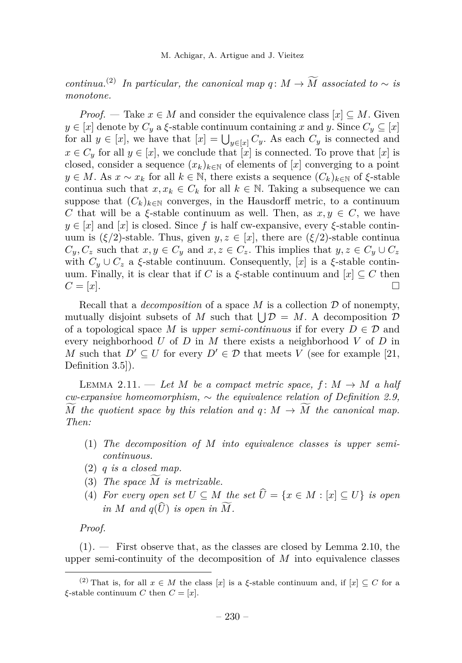*continua.*<sup>(2)</sup> *In particular, the canonical map*  $q: M \to \widetilde{M}$  *associated to* ∼ *is monotone.*

*Proof.* — Take  $x \in M$  and consider the equivalence class  $[x] \subseteq M$ . Given  $y \in [x]$  denote by  $C_y$  a  $\xi$ -stable continuum containing  $x$  and  $y$ . Since  $C_y \subseteq [x]$ for all  $y \in [x]$ , we have that  $[x] = \bigcup_{y \in [x]} C_y$ . As each  $C_y$  is connected and  $x \in C_y$  for all  $y \in [x]$ , we conclude that  $[x]$  is connected. To prove that  $[x]$  is closed, consider a sequence  $(x_k)_{k\in\mathbb{N}}$  of elements of [*x*] converging to a point *y* ∈ *M*. As *x* ∼ *x<sub>k</sub>* for all *k* ∈ N, there exists a sequence  $(C_k)_{k \in \mathbb{N}}$  of  $\xi$ -stable continua such that  $x, x_k \in C_k$  for all  $k \in \mathbb{N}$ . Taking a subsequence we can suppose that  $(C_k)_{k\in\mathbb{N}}$  converges, in the Hausdorff metric, to a continuum *C* that will be a *ξ*-stable continuum as well. Then, as  $x, y \in C$ , we have  $y \in [x]$  and  $[x]$  is closed. Since f is half cw-expansive, every  $\xi$ -stable continuum is  $(\xi/2)$ -stable. Thus, given  $y, z \in [x]$ , there are  $(\xi/2)$ -stable continua  $C_y, C_z$  such that  $x, y \in C_y$  and  $x, z \in C_z$ . This implies that  $y, z \in C_y \cup C_z$ with  $C_y \cup C_z$  a  $\xi$ -stable continuum. Consequently, [x] is a  $\xi$ -stable continuum. Finally, it is clear that if *C* is a *ξ*-stable continuum and  $[x] \subseteq C$  then  $C = [x].$ 

Recall that a *decomposition* of a space *M* is a collection D of nonempty, mutually disjoint subsets of M such that  $\bigcup \mathcal{D} = M$ . A decomposition  $\mathcal{D}$ of a topological space M is *upper semi-continuous* if for every  $D \in \mathcal{D}$  and every neighborhood *U* of *D* in *M* there exists a neighborhood *V* of *D* in *M* such that  $D' \subseteq U$  for every  $D' \in \mathcal{D}$  that meets *V* (see for example [\[21,](#page-26-5) Definition 3.5]).

<span id="page-10-4"></span>LEMMA 2.11. — Let M be a compact metric space,  $f: M \to M$  a half *cw-expansive homeomorphism,* ∼ *the equivalence relation of Definition [2.9,](#page-9-1) M* the quotient space by this relation and  $q: M \rightarrow M$  the canonical map. *Then:*

- <span id="page-10-0"></span>(1) *The decomposition of M into equivalence classes is upper semicontinuous.*
- <span id="page-10-1"></span>(2) *q is a closed map.*
- <span id="page-10-2"></span> $(3)$  *The space M is metrizable.*
- <span id="page-10-3"></span>(4) *For every open set*  $U \subseteq M$  *the set*  $\widehat{U} = \{x \in M : |x| \subseteq U\}$  *is open in M* and  $q(\widehat{U})$  *is open in*  $\widetilde{M}$ *.*

*Proof.*

[\(1\)](#page-10-0)*. —* First observe that, as the classes are closed by Lemma [2.10,](#page-9-2) the upper semi-continuity of the decomposition of *M* into equivalence classes

<sup>&</sup>lt;sup>(2)</sup> That is, for all  $x \in M$  the class [*x*] is a *ξ*-stable continuum and, if  $[x] \subseteq C$  for a *ξ*-stable continuum *C* then  $C = [x]$ .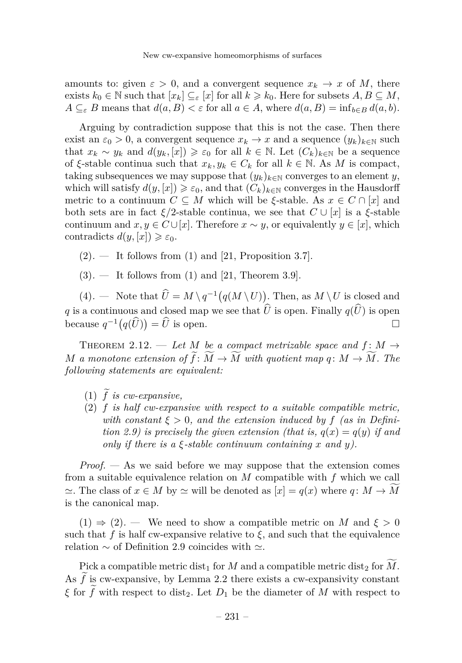amounts to: given  $\varepsilon > 0$ , and a convergent sequence  $x_k \to x$  of M, there exists  $k_0 \in \mathbb{N}$  such that  $[x_k] \subseteq \varepsilon$  [*x*] for all  $k \geq k_0$ . Here for subsets  $A, B \subseteq M$ ,  $A \subseteq_{\varepsilon} B$  means that  $d(a, B) < \varepsilon$  for all  $a \in A$ , where  $d(a, B) = \inf_{b \in B} d(a, b)$ .

Arguing by contradiction suppose that this is not the case. Then there exist an  $\varepsilon_0 > 0$ , a convergent sequence  $x_k \to x$  and a sequence  $(y_k)_{k \in \mathbb{N}}$  such that  $x_k \sim y_k$  and  $d(y_k, [x]) \geq \varepsilon_0$  for all  $k \in \mathbb{N}$ . Let  $(C_k)_{k \in \mathbb{N}}$  be a sequence of *ξ*-stable continua such that  $x_k, y_k \in C_k$  for all  $k \in \mathbb{N}$ . As M is compact, taking subsequences we may suppose that  $(y_k)_{k \in \mathbb{N}}$  converges to an element *y*, which will satisfy  $d(y,[x]) \geq \varepsilon_0$ , and that  $(C_k)_{k\in\mathbb{N}}$  converges in the Hausdorff metric to a continuum  $C \subseteq M$  which will be  $\xi$ -stable. As  $x \in C \cap [x]$  and both sets are in fact  $\xi/2$ -stable continua, we see that  $C \cup [x]$  is a  $\xi$ -stable continuum and  $x, y \in C \cup [x]$ . Therefore  $x \sim y$ , or equivalently  $y \in [x]$ , which contradicts  $d(y, [x]) \geq \varepsilon_0$ .

 $(2)$ . — It follows from  $(1)$  and  $[21,$  Proposition 3.7.

[\(3\)](#page-10-2)*. —* It follows from [\(1\)](#page-10-0) and [\[21,](#page-26-5) Theorem 3.9].

[\(4\)](#page-10-3). — Note that  $\hat{U} = M \setminus q^{-1} (q(M \setminus U))$ . Then, as  $M \setminus U$  is closed and *q* is a continuous and closed map we see that  $\hat{U}$  is open. Finally  $q(\hat{U})$  is open<br>because  $q^{-1}(q(\hat{U})) = \hat{U}$  is open. because  $q^{-1}(q(\hat{U})) = \hat{U}$  is open.

<span id="page-11-2"></span>THEOREM 2.12. — Let M be a compact metrizable space and  $f: M \rightarrow$ *M a* monotone extension of  $\widetilde{f}: \widetilde{M} \to \widetilde{M}$  with quotient map  $q: M \to \widetilde{M}$ . The *following statements are equivalent:*

- <span id="page-11-0"></span>(1)  $\tilde{f}$  *is cw-expansive.*
- <span id="page-11-1"></span>(2) *f is half cw-expansive with respect to a suitable compatible metric, with constant*  $\xi > 0$ , and the extension induced by f (as in Defini*tion* [2.9\)](#page-9-1) *is precisely the given extension (that is,*  $q(x) = q(y)$  *if and only if there is a ξ-stable continuum containing x and y).*

*Proof. —* As we said before we may suppose that the extension comes from a suitable equivalence relation on *M* compatible with *f* which we call  $\approx$ . The class of *x* ∈ *M* by  $\approx$  will be denoted as  $[x] = q(x)$  where *q* : *M* → *M* is the canonical map.

 $(1) \Rightarrow (2)$  $(1) \Rightarrow (2)$  $(1) \Rightarrow (2)$ . — We need to show a compatible metric on M and  $\xi > 0$ such that  $f$  is half cw-expansive relative to  $\xi$ , and such that the equivalence relation  $\sim$  of Definition [2.9](#page-9-1) coincides with  $\simeq$ .

Pick a compatible metric dist<sub>1</sub> for *M* and a compatible metric dist<sub>2</sub> for *M*. As  $\tilde{f}$  is cw-expansive, by Lemma [2.2](#page-6-1) there exists a cw-expansivity constant *ξ* for  $\tilde{f}$  with respect to dist<sub>2</sub>. Let  $D_1$  be the diameter of *M* with respect to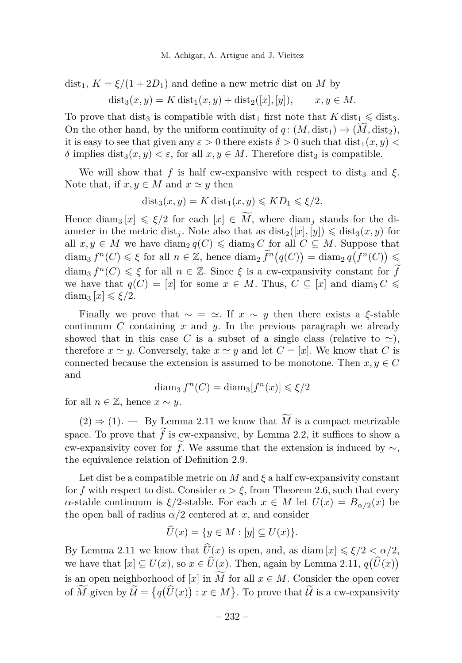$dist_1, K = \xi/(1 + 2D_1)$  and define a new metric dist on M by

$$
dist_3(x, y) = K dist_1(x, y) + dist_2([x], [y]),
$$
  $x, y \in M.$ 

To prove that dist<sub>3</sub> is compatible with dist<sub>1</sub> first note that  $K \text{ dist}_1 \leqslant \text{ dist}_3$ . On the other hand, by the uniform continuity of  $q: (M, dist_1) \rightarrow (M, dist_2),$ it is easy to see that given any  $\varepsilon > 0$  there exists  $\delta > 0$  such that  $dist_1(x, y) <$ *δ* implies dist<sub>3</sub>(*x, y*) *< ε,* for all *x, y* ∈ *M*. Therefore dist<sub>3</sub> is compatible.

We will show that f is half cw-expansive with respect to dist<sub>3</sub> and  $\xi$ . Note that, if  $x, y \in M$  and  $x \simeq y$  then

$$
dist_3(x, y) = K dist_1(x, y) \leqslant KD_1 \leqslant \xi/2.
$$

Hence diam<sub>3</sub>  $[x] \le \xi/2$  for each  $[x] \in \widetilde{M}$ , where diam<sub>i</sub> stands for the diameter in the metric dist<sub>*j*</sub>. Note also that as  $dist_2([x], [y]) \leq dist_3(x, y)$  for all  $x, y \in M$  we have diam<sub>2</sub>  $q(C) \leq d$ iam<sub>3</sub> *C* for all  $C \subseteq M$ . Suppose that diam<sub>3</sub>  $f^{n}(C) \leq \xi$  for all  $n \in \mathbb{Z}$ , hence diam<sub>2</sub>  $\widetilde{f}^{n}(q(C)) = \text{diam}_{2} q(f^{n}(C)) \leq$ diam<sub>3</sub>  $f^{n}(C) \leq \xi$  for all  $n \in \mathbb{Z}$ . Since  $\xi$  is a cw-expansivity constant for  $\widetilde{f}$ we have that  $q(C) = [x]$  for some  $x \in M$ . Thus,  $C \subseteq [x]$  and diam<sub>3</sub>  $C \leq$ diam<sub>3</sub>  $[x] \leq \xi/2$ .

Finally we prove that  $\sim = \simeq$ . If  $x \sim y$  then there exists a *ξ*-stable continuum *C* containing *x* and *y*. In the previous paragraph we already showed that in this case C is a subset of a single class (relative to  $\approx$ ), therefore  $x \simeq y$ . Conversely, take  $x \simeq y$  and let  $C = [x]$ . We know that *C* is connected because the extension is assumed to be monotone. Then  $x, y \in C$ and

$$
\text{diam}_3 f^n(C) = \text{diam}_3[f^n(x)] \leq \xi/2
$$

for all  $n \in \mathbb{Z}$ , hence  $x \sim y$ .

 $(2) \Rightarrow (1)$  $(2) \Rightarrow (1)$  $(2) \Rightarrow (1)$ . — By Lemma [2.11](#page-10-4) we know that  $\widetilde{M}$  is a compact metrizable space. To prove that  $f$  is cw-expansive, by Lemma [2.2,](#page-6-1) it suffices to show a cw-expansivity cover for  $\hat{f}$ . We assume that the extension is induced by  $\sim$ , the equivalence relation of Definition [2.9.](#page-9-1)

Let dist be a compatible metric on  $M$  and  $\xi$  a half cw-expansivity constant for f with respect to dist. Consider  $\alpha > \xi$ , from Theorem [2.6,](#page-7-0) such that every *α*-stable continuum is  $ξ/2$ -stable. For each  $x ∈ M$  let  $U(x) = B_{α/2}(x)$  be the open ball of radius  $\alpha/2$  centered at *x*, and consider

$$
U(x) = \{ y \in M : [y] \subseteq U(x) \}.
$$

By Lemma [2.11](#page-10-4) we know that  $\hat{U}(x)$  is open, and, as diam  $|x| \le \xi/2 < \alpha/2$ , we have that  $[x] \subseteq U(x)$ , so  $x \in \hat{U}(\underline{x})$ . Then, again by Lemma [2.11,](#page-10-4)  $q(\hat{U}(x))$ is an open neighborhood of [*x*] in  $\widetilde{M}$  for all  $x \in M$ . Consider the open cover of  $\tilde{M}$  given by  $\tilde{\mathcal{U}} = \{q(\hat{U}(x)) : x \in M\}$ . To prove that  $\tilde{\mathcal{U}}$  is a cw-expansivity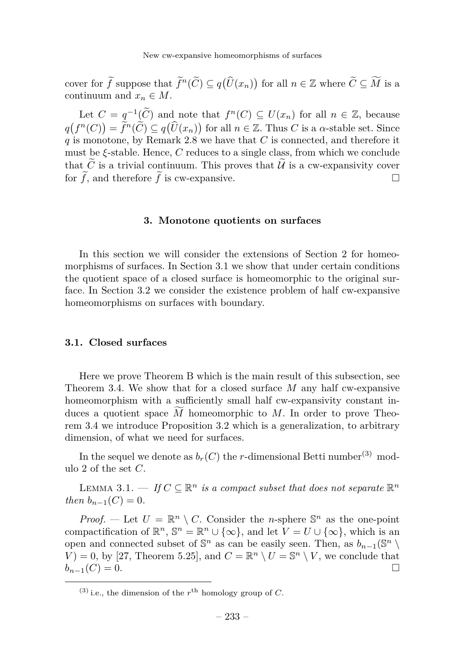cover for  $\widetilde{f}$  suppose that  $\widetilde{f}^n(\widetilde{C}) \subseteq q(\widehat{U}(x_n))$  for all  $n \in \mathbb{Z}$  where  $\widetilde{C} \subseteq \widetilde{M}$  is a continuum and  $x_n \in M$ .

Let  $C = q^{-1}(\widetilde{C})$  and note that  $f^{n}(C) \subseteq U(x_n)$  for all  $n \in \mathbb{Z}$ , because  $q(f^n(C)) = \tilde{f}^n(\tilde{C}) \subseteq q(\hat{U}(x_n))$  for all  $n \in \mathbb{Z}$ . Thus *C* is a *α*-stable set. Since *q* is monotone, by Remark [2.8](#page-9-3) we have that *C* is connected, and therefore it must be *ξ*-stable. Hence, *C* reduces to a single class, from which we conclude that  $\widetilde{C}$  is a trivial continuum. This proves that  $\widetilde{U}$  is a cw-expansivity cover<br>for  $\widetilde{f}$  and therefore  $\widetilde{f}$  is cw-expansive. for  $\tilde{f}$ , and therefore  $\tilde{f}$  is cw-expansive.

#### **3. Monotone quotients on surfaces**

<span id="page-13-0"></span>In this section we will consider the extensions of Section [2](#page-6-2) for homeomorphisms of surfaces. In Section [3.1](#page-13-1) we show that under certain conditions the quotient space of a closed surface is homeomorphic to the original surface. In Section [3.2](#page-16-0) we consider the existence problem of half cw-expansive homeomorphisms on surfaces with boundary.

#### <span id="page-13-1"></span>**3.1. Closed surfaces**

Here we prove Theorem [B](#page-4-2) which is the main result of this subsection, see Theorem [3.4.](#page-14-0) We show that for a closed surface *M* any half cw-expansive homeomorphism with a sufficiently small half cw-expansivity constant induces a quotient space  $\overline{M}$  homeomorphic to  $\overline{M}$ . In order to prove Theorem [3.4](#page-14-0) we introduce Proposition [3.2](#page-14-1) which is a generalization, to arbitrary dimension, of what we need for surfaces.

In the sequel we denote as  $b_r(C)$  the *r*-dimensional Betti number<sup>(3)</sup> modulo 2 of the set *C*.

<span id="page-13-2"></span>LEMMA 3.1. — *If*  $C \subseteq \mathbb{R}^n$  *is a compact subset that does not separate*  $\mathbb{R}^n$ *then*  $b_{n-1}(C) = 0$ *.* 

*Proof.* — Let  $U = \mathbb{R}^n \setminus C$ . Consider the *n*-sphere  $\mathbb{S}^n$  as the one-point compactification of  $\mathbb{R}^n$ ,  $\mathbb{S}^n = \mathbb{R}^n \cup {\infty}$ , and let  $V = U \cup {\infty}$ , which is an open and connected subset of  $\mathbb{S}^n$  as can be easily seen. Then, as  $b_{n-1}(\mathbb{S}^n \setminus \mathbb{S}^n)$  $V = 0$ , by [\[27,](#page-26-6) Theorem 5.25], and  $C = \mathbb{R}^n \setminus U = \mathbb{S}^n \setminus V$ , we conclude that  $b_{n-1}(C) = 0.$ 

<sup>&</sup>lt;sup>(3)</sup> i.e., the dimension of the  $r<sup>th</sup>$  homology group of *C*.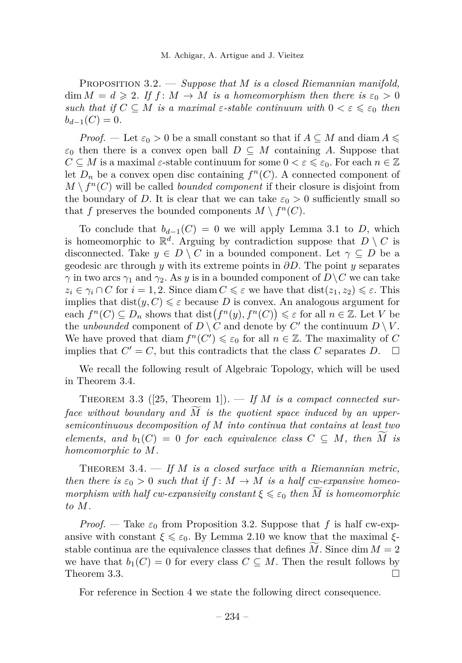<span id="page-14-1"></span>Proposition 3.2. — *Suppose that M is a closed Riemannian manifold,*  $\dim M = d \geqslant 2$ . If  $f : M \to M$  is a homeomorphism then there is  $\varepsilon_0 > 0$ *such that if*  $C \subseteq M$  *is a maximal*  $\varepsilon$ -*stable continuum with*  $0 < \varepsilon \leq \varepsilon_0$  *then*  $b_{d-1}(C) = 0.$ 

*Proof.* — Let  $\varepsilon_0 > 0$  be a small constant so that if  $A \subseteq M$  and diam  $A \leq$  $\varepsilon_0$  then there is a convex open ball  $D \subseteq M$  containing *A*. Suppose that  $C \subseteq M$  is a maximal  $\varepsilon$ -stable continuum for some  $0 < \varepsilon \leq \varepsilon_0$ . For each  $n \in \mathbb{Z}$ let  $D_n$  be a convex open disc containing  $f^n(C)$ . A connected component of  $M \setminus f^n(C)$  will be called *bounded component* if their closure is disjoint from the boundary of *D*. It is clear that we can take  $\varepsilon_0 > 0$  sufficiently small so that *f* preserves the bounded components  $M \setminus f^{n}(C)$ .

To conclude that  $b_{d-1}(C) = 0$  we will apply Lemma [3.1](#page-13-2) to *D*, which is homeomorphic to  $\mathbb{R}^d$ . Arguing by contradiction suppose that  $D \setminus C$  is disconnected. Take  $y \in D \setminus C$  in a bounded component. Let  $\gamma \subseteq D$  be a geodesic arc through *y* with its extreme points in *∂D*. The point *y* separates *γ* in two arcs  $\gamma_1$  and  $\gamma_2$ . As *y* is in a bounded component of  $D \setminus C$  we can take  $z_i \in \gamma_i \cap C$  for  $i = 1, 2$ . Since diam  $C \leq \varepsilon$  we have that  $dist(z_1, z_2) \leq \varepsilon$ . This implies that  $dist(y, C) \leq \varepsilon$  because *D* is convex. An analogous argument for each  $f^{n}(C) \subseteq D_{n}$  shows that dist $(f^{n}(y), f^{n}(C)) \leq \varepsilon$  for all  $n \in \mathbb{Z}$ . Let *V* be the *unbounded* component of  $D \setminus C$  and denote by  $C'$  the continuum  $D \setminus V$ . We have proved that diam  $f^{n}(C') \leq \varepsilon_0$  for all  $n \in \mathbb{Z}$ . The maximality of *C* implies that  $C' = C$ , but this contradicts that the class *C* separates *D*.  $\Box$ 

We recall the following result of Algebraic Topology, which will be used in Theorem [3.4.](#page-14-0)

<span id="page-14-2"></span>THEOREM 3.3 ([\[25,](#page-26-3) Theorem 1]). — If M is a compact connected sur*face without boundary and*  $\overline{M}$  *is the quotient space induced by an uppersemicontinuous decomposition of M into continua that contains at least two elements, and*  $b_1(C) = 0$  *for each equivalence class*  $C \subseteq M$ *, then*  $\overline{M}$  *is homeomorphic to M.*

<span id="page-14-0"></span>THEOREM 3.4. — If M is a closed surface with a Riemannian metric, *then there is*  $\varepsilon_0 > 0$  *such that if*  $f : M \to M$  *is a half cw-expansive homeomorphism with half cw-expansivity constant*  $\xi \leq \varepsilon_0$  *then*  $\widetilde{M}$  *is homeomorphic to M.*

*Proof.* — Take  $\varepsilon_0$  from Proposition [3.2.](#page-14-1) Suppose that f is half cw-expansive with constant  $\xi \leq \varepsilon_0$ . By Lemma [2.10](#page-9-2) we know that the maximal  $\xi$ stable continua are the equivalence classes that defines *M*. Since dim  $M = 2$ we have that  $b_1(C) = 0$  for every class  $C \subseteq M$ . Then the result follows by Theorem [3.3.](#page-14-2)  $\Box$ 

For reference in Section [4](#page-18-0) we state the following direct consequence.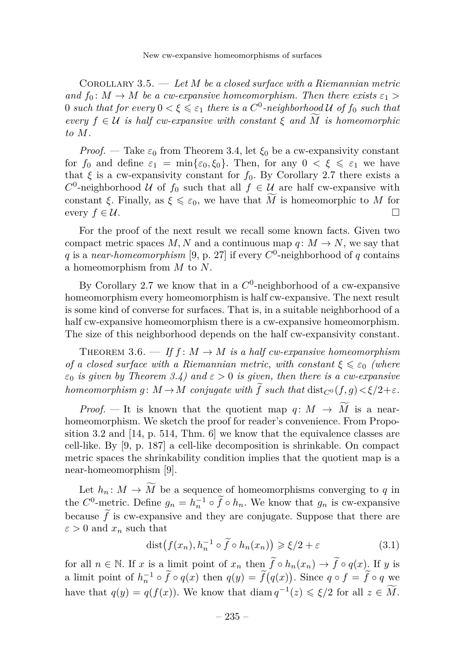<span id="page-15-1"></span>Corollary 3.5. — *Let M be a closed surface with a Riemannian metric and*  $f_0: M \to M$  *be a cw-expansive homeomorphism. Then there exists*  $\varepsilon_1$  >  $0$  *such that for every*  $0 < \xi \leqslant \varepsilon_1$  *there is a*  $C^0$ -neighborhood  $U$  of  $f_0$  *such that*  $e^{i\theta}$  *f*  $\in \mathcal{U}$  *is half cw-expansive with constant*  $\xi$  *and*  $\overline{M}$  *is homeomorphic to M.*

*Proof.* — Take  $\varepsilon_0$  from Theorem [3.4,](#page-14-0) let  $\xi_0$  be a cw-expansivity constant for  $f_0$  and define  $\varepsilon_1 = \min{\{\varepsilon_0, \xi_0\}}$ . Then, for any  $0 < \xi \leq \varepsilon_1$  we have that  $\xi$  is a cw-expansivity constant for  $f_0$ . By Corollary [2.7](#page-8-2) there exists a  $C^0$ -neighborhood U of  $f_0$  such that all  $f \in U$  are half cw-expansive with constant *ξ*. Finally, as  $\xi \leq \varepsilon_0$ , we have that  $\widetilde{M}$  is homeomorphic to *M* for every  $f \in \mathcal{U}$ every  $f \in \mathcal{U}$ .

For the proof of the next result we recall some known facts. Given two compact metric spaces M, N and a continuous map  $q: M \to N$ , we say that q is a *near-homeomorphism* [\[9,](#page-25-17) p. 27] if every  $C^0$ -neighborhood of q contains a homeomorphism from *M* to *N*.

By Corollary [2.7](#page-8-2) we know that in a  $C^0$ -neighborhood of a cw-expansive homeomorphism every homeomorphism is half cw-expansive. The next result is some kind of converse for surfaces. That is, in a suitable neighborhood of a half cw-expansive homeomorphism there is a cw-expansive homeomorphism. The size of this neighborhood depends on the half cw-expansivity constant.

THEOREM 3.6.  $\longrightarrow$  *If f* : *M*  $\rightarrow$  *M is a half cw-expansive homeomorphism of a closed surface with a Riemannian metric, with constant*  $\xi \leq \varepsilon_0$  *(where*  $\varepsilon_0$  *is given by Theorem* [3.4\)](#page-14-0) and  $\varepsilon > 0$  *is given, then there is a cw-expansive homeomorphism*  $q: M \to M$  *conjugate with*  $\tilde{f}$  *such that* dist<sub>*C*<sup>0</sup></sub>  $(f, q) < \xi/2 + \varepsilon$ *.* 

*Proof.* — It is known that the quotient map  $q: M \to \widetilde{M}$  is a nearhomeomorphism. We sketch the proof for reader's convenience. From Propo-sition [3.2](#page-14-1) and  $[14, p. 514, Thm. 6]$  $[14, p. 514, Thm. 6]$  we know that the equivalence classes are cell-like. By [\[9,](#page-25-17) p. 187] a cell-like decomposition is shrinkable. On compact metric spaces the shrinkability condition implies that the quotient map is a near-homeomorphism [\[9\]](#page-25-17).

Let  $h_n: M \to \widetilde{M}$  be a sequence of homeomorphisms converging to  $q$  in the  $C^0$ -metric. Define  $g_n = h_n^{-1} \circ \tilde{f} \circ h_n$ . We know that  $g_n$  is cw-expansive because  $f$  is cw-expansive and they are conjugate. Suppose that there are  $\varepsilon > 0$  and  $x_n$  such that

<span id="page-15-0"></span>
$$
dist(f(x_n), h_n^{-1} \circ \tilde{f} \circ h_n(x_n)) \ge \xi/2 + \varepsilon \tag{3.1}
$$

for all  $n \in \mathbb{N}$ . If *x* is a limit point of  $x_n$  then  $\widetilde{f} \circ h_n(x_n) \to \widetilde{f} \circ q(x)$ . If *y* is a limit point of  $h_n^{-1} \circ \tilde{f} \circ q(x)$  then  $q(y) = \tilde{f}(q(x))$ . Since  $q \circ f = \tilde{f} \circ q$  we have that  $q(y) = q(f(x))$ . We know that diam  $q^{-1}(z) \leq \xi/2$  for all  $z \in \widetilde{M}$ .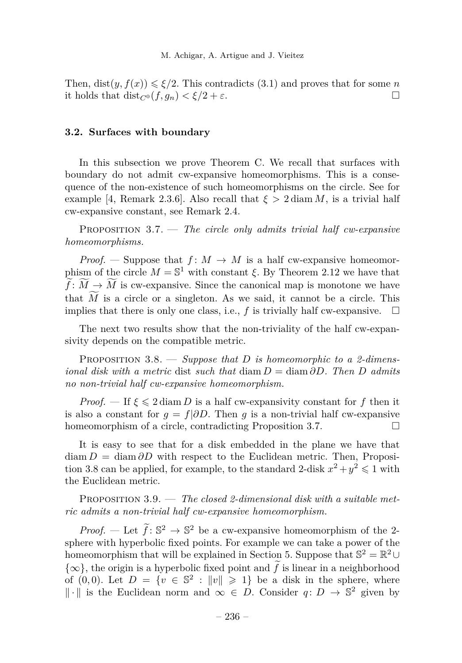Then,  $dist(y, f(x)) \leq \xi/2$ . This contradicts [\(3.1\)](#page-15-0) and proves that for some *n* it holds that  $dist_{C^0}(f, g_n) < \xi/2 + \varepsilon$ .

#### <span id="page-16-0"></span>**3.2. Surfaces with boundary**

In this subsection we prove Theorem [C.](#page-5-0) We recall that surfaces with boundary do not admit cw-expansive homeomorphisms. This is a consequence of the non-existence of such homeomorphisms on the circle. See for example [\[4,](#page-25-13) Remark 2.3.6]. Also recall that  $\xi > 2 \text{diam } M$ , is a trivial half cw-expansive constant, see Remark [2.4.](#page-7-2)

<span id="page-16-3"></span>Proposition 3.7. — *The circle only admits trivial half cw-expansive homeomorphisms.*

*Proof.* — Suppose that  $f: M \to M$  is a half cw-expansive homeomorphism of the circle  $M = \mathbb{S}^1$  with constant *ξ*. By Theorem [2.12](#page-11-2) we have that  $\widetilde{f}: \widetilde{M} \to \widetilde{M}$  is cw-expansive. Since the canonical map is monotone we have that  $\widetilde{M}$  is a circle or a singleton. As we said, it cannot be a circle. This implies that there is only one class, i.e., f is trivially half cw-expansive.  $\square$ implies that there is only one class, i.e., *f* is trivially half cw-expansive.

The next two results show that the non-triviality of the half cw-expansivity depends on the compatible metric.

<span id="page-16-1"></span>Proposition 3.8. — *Suppose that D is homeomorphic to a 2-dimensional disk with a metric* dist *such that* diam *D* = diam *∂D. Then D admits no non-trivial half cw-expansive homeomorphism.*

*Proof.* — If  $\xi \leq 2 \text{ diam } D$  is a half cw-expansivity constant for f then it is also a constant for  $g = f | \partial D$ . Then *g* is a non-trivial half cw-expansive homeomorphism of a circle, contradicting Proposition [3.7.](#page-16-3)

It is easy to see that for a disk embedded in the plane we have that  $\text{diam } D = \text{diam } \partial D$  with respect to the Euclidean metric. Then, Proposi-tion [3.8](#page-16-1) can be applied, for example, to the standard 2-disk  $x^2 + y^2 \leq 1$  with the Euclidean metric.

<span id="page-16-2"></span>Proposition 3.9. — *The closed 2-dimensional disk with a suitable metric admits a non-trivial half cw-expansive homeomorphism.*

*Proof.* — Let  $\tilde{f}: \mathbb{S}^2 \to \mathbb{S}^2$  be a cw-expansive homeomorphism of the 2sphere with hyperbolic fixed points. For example we can take a power of the homeomorphism that will be explained in Section [5.](#page-22-0) Suppose that  $\mathbb{S}^2 = \mathbb{R}^2 \cup$  $\{\infty\}$ , the origin is a hyperbolic fixed point and  $\tilde{f}$  is linear in a neighborhood of  $(0,0)$ . Let  $D = \{v \in \mathbb{S}^2 : ||v|| \geq 1\}$  be a disk in the sphere, where  $\|\cdot\|$  is the Euclidean norm and ∞ ∈ *D*. Consider *q*: *D* →  $\mathbb{S}^2$  given by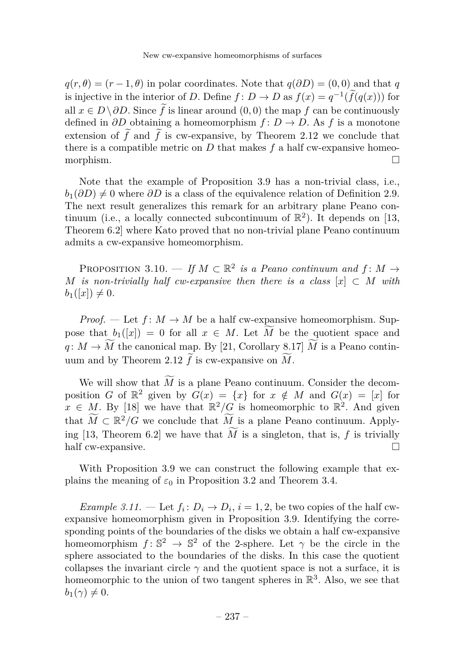$q(r, \theta) = (r - 1, \theta)$  in polar coordinates. Note that  $q(\partial D) = (0, 0)$  and that *q* is injective in the interior of *D*. Define  $f: D \to D$  as  $f(x) = q^{-1}(\tilde{f}(q(x)))$  for all  $x \in D \setminus \partial D$ . Since  $\tilde{f}$  is linear around  $(0, 0)$  the map  $f$  can be continuously defined in *∂D* obtaining a homeomorphism *f* : *D* → *D*. As *f* is a monotone extension of  $\tilde{f}$  and  $\tilde{f}$  is cw-expansive, by Theorem [2.12](#page-11-2) we conclude that there is a compatible metric on *D* that makes *f* a half cw-expansive homeomorphism.

Note that the example of Proposition [3.9](#page-16-2) has a non-trivial class, i.e.,  $b_1(\partial D) \neq 0$  where  $\partial D$  is a class of the equivalence relation of Definition [2.9.](#page-9-1) The next result generalizes this remark for an arbitrary plane Peano continuum (i.e., a locally connected subcontinuum of  $\mathbb{R}^2$ ). It depends on [\[13,](#page-25-4) Theorem 6.2] where Kato proved that no non-trivial plane Peano continuum admits a cw-expansive homeomorphism.

PROPOSITION 3.10. — If  $M \subset \mathbb{R}^2$  is a Peano continuum and  $f: M \to$ *M is non-trivially half cw-expansive then there is a class*  $[x] \subset M$  *with*  $b_1([x]) \neq 0.$ 

*Proof.* — Let  $f: M \to M$  be a half cw-expansive homeomorphism. Suppose that  $b_1([x]) = 0$  for all  $x \in M$ . Let  $\tilde{M}$  be the quotient space and *q*:  $M \to \widetilde{M}$  the canonical map. By [\[21,](#page-26-5) Corollary 8.17]  $\widetilde{M}$  is a Peano contin-uum and by Theorem [2.12](#page-11-2)  $\tilde{f}$  is cw-expansive on  $\tilde{M}$ .

We will show that  $\widetilde{M}$  is a plane Peano continuum. Consider the decomposition *G* of  $\mathbb{R}^2$  given by  $G(x) = \{x\}$  for  $x \notin M$  and  $G(x) = [x]$  for  $x \in M$ . By [\[18\]](#page-25-11) we have that  $\mathbb{R}^2/G$  is homeomorphic to  $\mathbb{R}^2$ . And given that  $\widetilde{M} \subset \mathbb{R}^2/G$  we conclude that  $\widetilde{M}$  is a plane Peano continuum. Apply-ing [\[13,](#page-25-4) Theorem 6.2] we have that  $\overline{M}$  is a singleton, that is,  $f$  is trivially half cw-expansive half cw-expansive.

With Proposition [3.9](#page-16-2) we can construct the following example that explains the meaning of  $\varepsilon_0$  in Proposition [3.2](#page-14-1) and Theorem [3.4.](#page-14-0)

*Example 3.11.* — Let  $f_i: D_i \to D_i$ ,  $i = 1, 2$ , be two copies of the half cwexpansive homeomorphism given in Proposition [3.9.](#page-16-2) Identifying the corresponding points of the boundaries of the disks we obtain a half cw-expansive homeomorphism  $f: \mathbb{S}^2 \to \mathbb{S}^2$  of the 2-sphere. Let  $\gamma$  be the circle in the sphere associated to the boundaries of the disks. In this case the quotient collapses the invariant circle  $\gamma$  and the quotient space is not a surface, it is homeomorphic to the union of two tangent spheres in  $\mathbb{R}^3$ . Also, we see that  $b_1(\gamma) \neq 0.$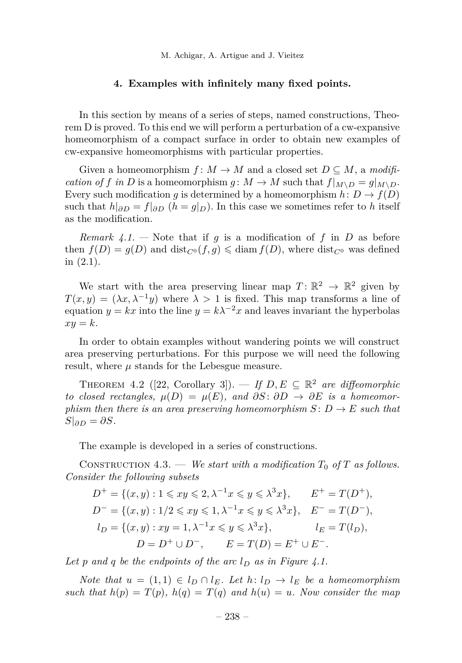#### **4. Examples with infinitely many fixed points.**

<span id="page-18-0"></span>In this section by means of a series of steps, named constructions, Theorem [D](#page-5-1) is proved. To this end we will perform a perturbation of a cw-expansive homeomorphism of a compact surface in order to obtain new examples of cw-expansive homeomorphisms with particular properties.

Given a homeomorphism  $f: M \to M$  and a closed set  $D \subseteq M$ , a *modification of f* in *D* is a homeomorphism *g* :  $M \to M$  such that  $f|_{M \setminus D} = g|_{M \setminus D}$ . Every such modification *g* is determined by a homeomorphism  $h: D \to f(D)$ such that  $h|_{\partial D} = f|_{\partial D}$  ( $h = g|_{D}$ ). In this case we sometimes refer to h itself as the modification.

*Remark 4.1.* – Note that if *g* is a modification of *f* in *D* as before then  $f(D) = g(D)$  and  $dist_{C^0}(f,g) \leq diam f(D)$ , where  $dist_{C^0}$  was defined in [\(2.1\)](#page-7-3).

We start with the area preserving linear map  $T: \mathbb{R}^2 \to \mathbb{R}^2$  given by  $T(x, y) = (\lambda x, \lambda^{-1}y)$  where  $\lambda > 1$  is fixed. This map transforms a line of equation  $y = kx$  into the line  $y = k\lambda^{-2}x$  and leaves invariant the hyperbolas  $xy = k$ .

In order to obtain examples without wandering points we will construct area preserving perturbations. For this purpose we will need the following result, where *µ* stands for the Lebesgue measure.

<span id="page-18-1"></span>THEOREM 4.2 ([\[22,](#page-26-7) Corollary 3]). — If  $D, E \subseteq \mathbb{R}^2$  are diffeomorphic *to closed rectangles,*  $\mu(D) = \mu(E)$ *, and*  $\partial S: \partial D \to \partial E$  *is a homeomorphism then there is an area preserving homeomorphism*  $S: D \to E$  *such that*  $S|_{\partial D} = \partial S$ *.* 

The example is developed in a series of constructions.

CONSTRUCTION 4.3. — *We start with a modification*  $T_0$  *of*  $T$  *as follows. Consider the following subsets*

$$
D^{+} = \{(x, y) : 1 \leq x y \leq 2, \lambda^{-1} x \leq y \leq \lambda^{3} x\}, \qquad E^{+} = T(D^{+}),
$$
  
\n
$$
D^{-} = \{(x, y) : 1/2 \leq x y \leq 1, \lambda^{-1} x \leq y \leq \lambda^{3} x\}, \qquad E^{-} = T(D^{-}),
$$
  
\n
$$
l_{D} = \{(x, y) : xy = 1, \lambda^{-1} x \leq y \leq \lambda^{3} x\}, \qquad l_{E} = T(l_{D}),
$$
  
\n
$$
D = D^{+} \cup D^{-}, \qquad E = T(D) = E^{+} \cup E^{-}.
$$

*Let p and q be the endpoints of the arc l<sup>D</sup> as in Figure [4.1.](#page-19-0)*

*Note that*  $u = (1, 1) \in l_D \cap l_E$ . Let  $h: l_D \to l_E$  be a homeomorphism *such that*  $h(p) = T(p)$ ,  $h(q) = T(q)$  *and*  $h(u) = u$ *. Now consider the map*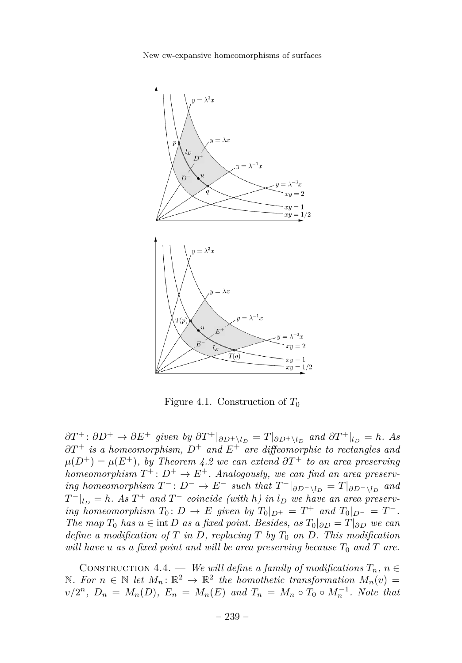New cw-expansive homeomorphisms of surfaces



<span id="page-19-0"></span>Figure 4.1. Construction of *T*<sup>0</sup>

 $\partial T^+$ :  $\partial D^+$  →  $\partial E^+$  given by  $\partial T^+|_{\partial D^+ \setminus l_D} = T|_{\partial D^+ \setminus l_D}$  and  $\partial T^+|_{l_D} = h$ *. As ∂T*<sup>+</sup> *is a homeomorphism, D*<sup>+</sup> *and E*<sup>+</sup> *are diffeomorphic to rectangles and*  $\mu(D^+) = \mu(E^+)$ , by Theorem [4.2](#page-18-1) we can extend  $\partial T^+$  to an area preserving *homeomorphism*  $T^+$ :  $D^+ \to E^+$ . Analogously, we can find an area preserv*ing homeomorphism*  $T^-: D^- \to E^-$  *such that*  $T^-|_{\partial D^- \setminus l_D} = T|_{\partial D^- \setminus l_D}$  *and*  $T^{-}|_{l}$  = *h.* As  $T^{+}$  *and*  $T^{-}$  *coincide (with h*) *in*  $l$ <sub>*D*</sub> *we have an area preserving homeomorphism*  $T_0: D \to E$  *given by*  $T_0|_{D^+} = T^+$  *and*  $T_0|_{D^-} = T^-$ . *The map*  $T_0$  *has*  $u \in \text{int } D$  *as a fixed point. Besides, as*  $T_0|_{\partial D} = T|_{\partial D}$  *we can define a modification of T in D, replacing T by T*<sup>0</sup> *on D. This modification will have*  $u$  *as a fixed point and will be area preserving because*  $T_0$  *and*  $T$  *are.* 

CONSTRUCTION 4.4. — *We will define a family of modifications*  $T_n$ ,  $n \in$ N. For  $n \in \mathbb{N}$  let  $M_n$ :  $\mathbb{R}^2$  →  $\mathbb{R}^2$  the homothetic transformation  $M_n(v)$  =  $v/2^n$ ,  $D_n = M_n(D)$ ,  $E_n = M_n(E)$  and  $T_n = M_n \circ T_0 \circ M_n^{-1}$ . Note that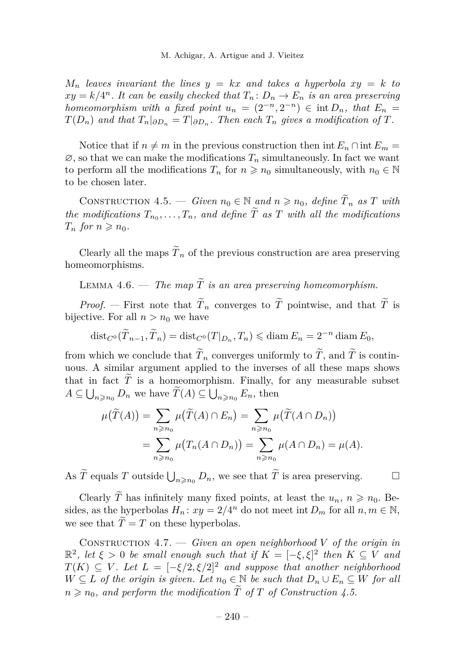$M_n$  *leaves invariant the lines*  $y = kx$  *and takes a hyperbola*  $xy = k$  *to*  $xy = k/4^n$ . It can be easily checked that  $T_n: D_n \to E_n$  is an area preserving *homeomorphism with a fixed point*  $u_n = (2^{-n}, 2^{-n}) \in \text{int } D_n$ , that  $E_n =$  $T(D_n)$  *and that*  $T_n|_{\partial D_n} = T|_{\partial D_n}$ . Then each  $T_n$  gives a modification of  $T$ .

Notice that if  $n \neq m$  in the previous construction then int  $E_n \cap \text{int } E_m =$  $\emptyset$ , so that we can make the modifications  $T_n$  simultaneously. In fact we want to perform all the modifications  $T_n$  for  $n \geq n_0$  simultaneously, with  $n_0 \in \mathbb{N}$ to be chosen later.

<span id="page-20-0"></span>CONSTRUCTION 4.5. — *Given*  $n_0 \in \mathbb{N}$  and  $n \geq n_0$ , define  $\widetilde{T}_n$  as  $T$  with *the modifications*  $T_{n_0}, \ldots, T_n$ , and define  $T$  as  $T$  with all the modifications  $T_n$  *for*  $n \geq n_0$ *.* 

Clearly all the maps  $\tilde{T}_n$  of the previous construction are area preserving homeomorphisms.

LEMMA 4.6. — *The map*  $\widetilde{T}$  *is an area preserving homeomorphism.* 

*Proof.* — First note that  $\widetilde{T}_n$  converges to  $\widetilde{T}$  pointwise, and that  $\widetilde{T}$  is bijective. For all  $n > n_0$  we have

$$
\text{dist}_{C^0}(\widetilde{T}_{n-1}, \widetilde{T}_n) = \text{dist}_{C^0}(T|_{D_n}, T_n) \leq \text{diam}\, E_n = 2^{-n}\,\text{diam}\, E_0,
$$

from which we conclude that  $T_n$  converges uniformly to  $T$ , and  $T$  is continuous. A similar argument applied to the inverses of all these maps shows that in fact  $\widetilde{T}$  is a homeomorphism. Finally, for any measurable subset  $A \subseteq \bigcup_{n \geq n_0} D_n$  we have  $T(A) \subseteq \bigcup_{n \geq n_0} E_n$ , then

$$
\mu(\widetilde{T}(A)) = \sum_{n \ge n_0} \mu(\widetilde{T}(A) \cap E_n) = \sum_{n \ge n_0} \mu(\widetilde{T}(A \cap D_n))
$$
  
= 
$$
\sum_{n \ge n_0} \mu(T_n(A \cap D_n)) = \sum_{n \ge n_0} \mu(A \cap D_n) = \mu(A).
$$

As  $\widetilde{T}$  equals *T* outside  $\bigcup_{n \geq n_0} D_n$ , we see that  $\widetilde{T}$  is area preserving.

Clearly  $\widetilde{T}$  has infinitely many fixed points, at least the  $u_n$ ,  $n \geq n_0$ . Besides, as the hyperbolas  $H_n$ :  $xy = 2/4^n$  do not meet int  $D_m$  for all  $n, m \in \mathbb{N}$ , we see that  $\tilde{T} = T$  on these hyperbolas.

<span id="page-20-1"></span>CONSTRUCTION 4.7. — *Given an open neighborhood*  $V$  *of the origin in*  $\mathbb{R}^2$ , let  $\xi > 0$  be small enough such that if  $K = [-\xi, \xi]^2$  then  $K \subseteq V$  and  $T(K) \subseteq V$ . Let  $L = [-\xi/2, \xi/2]^2$  and suppose that another neighborhood *W* ⊆ *L of the origin is given. Let*  $n_0 \in \mathbb{N}$  *be such that*  $D_n \cup E_n \subseteq W$  *for all*  $n \geq n_0$ , and perform the modification  $\widetilde{T}$  of  $T$  of Construction [4.5.](#page-20-0)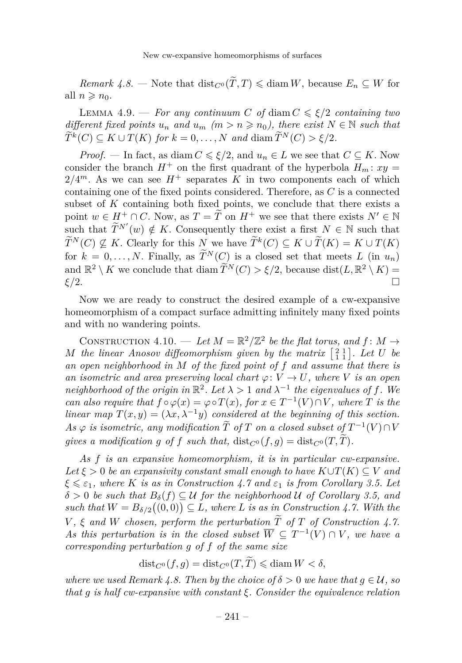<span id="page-21-0"></span>*Remark 4.8.* — Note that  $dist_{C^0}(\widetilde{T}, T) \leq \text{diam } W$ , because  $E_n \subseteq W$  for all  $n \geqslant n_0$ .

<span id="page-21-2"></span>LEMMA 4.9. — *For any continuum C* of diam  $C \le \xi/2$  *containing two different fixed points*  $u_n$  *and*  $u_m$  ( $m > n \ge n_0$ ), there exist  $N \in \mathbb{N}$  such that  $\widetilde{T}^k(C) \subseteq K \cup T(K)$  *for*  $k = 0, \ldots, N$  *and* diam  $\widetilde{T}^N(C) > \xi/2$ *.* 

*Proof.* — In fact, as diam  $C \le \xi/2$ , and  $u_n \in L$  we see that  $C \subseteq K$ . Now consider the branch  $H^+$  on the first quadrant of the hyperbola  $H_m$ :  $xy =$  $2/4^m$ . As we can see  $H^+$  separates K in two components each of which containing one of the fixed points considered. Therefore, as *C* is a connected subset of *K* containing both fixed points, we conclude that there exists a point  $w \in H^+ \cap C$ . Now, as  $T = \tilde{T}$  on  $H^+$  we see that there exists  $N' \in \mathbb{N}$ such that  $\widetilde{T}^{N'}(w) \notin K$ . Consequently there exist a first  $N \in \mathbb{N}$  such that  $\widetilde{T}^N(C) \nsubseteq K$ . Clearly for this *N* we have  $\widetilde{T}^k(C) \subseteq K \cup \widetilde{T}(K) = K \cup T(K)$ for  $k = 0, \ldots, N$ . Finally, as  $\widetilde{T}^{N}(C)$  is a closed set that meets *L* (in  $u_n$ ) and  $\mathbb{R}^2 \setminus K$  we conclude that diam  $\widetilde{T}^N(C) > \xi/2$ , because dist $(L, \mathbb{R}^2 \setminus K) =$ *ξ/*2.

Now we are ready to construct the desired example of a cw-expansive homeomorphism of a compact surface admitting infinitely many fixed points and with no wandering points.

<span id="page-21-1"></span>CONSTRUCTION 4.10. — Let  $M = \mathbb{R}^2/\mathbb{Z}^2$  be the flat torus, and  $f: M \to$ *M* the linear Anosov diffeomorphism given by the matrix  $\begin{bmatrix} 2 & 1 \\ 1 & 1 \end{bmatrix}$ . Let U be *an open neighborhood in M of the fixed point of f and assume that there is an isometric and area preserving local chart*  $\varphi: V \to U$ *, where V is an open neighborhood of the origin in*  $\mathbb{R}^2$ . Let  $\lambda > 1$  and  $\lambda^{-1}$  the eigenvalues of f. We *can also require that*  $f \circ \varphi(x) = \varphi \circ T(x)$ *, for*  $x \in T^{-1}(V) \cap V$ *, where T is the linear map*  $T(x, y) = (\lambda x, \lambda^{-1}y)$  *considered at the beginning of this section.*  $As \varphi$  *is isometric, any modification*  $\widetilde{T}$  *of*  $T$  *on a closed subset of*  $T^{-1}(V) \cap V$ *gives a modification g of f such that,*  $dist_{C^0}(f,g) = dist_{C^0}(T,\tilde{T})$ .

*As f is an expansive homeomorphism, it is in particular cw-expansive.*  $Let \xi > 0$  *be an expansivity constant small enough to have*  $K \cup T(K) \subseteq V$  *and*  $\xi \leq \varepsilon_1$ , where *K is as in Construction* [4.7](#page-20-1) *and*  $\varepsilon_1$  *is from Corollary* [3.5.](#page-15-1) Let  $\delta > 0$  *be such that*  $B_{\delta}(f) \subseteq U$  *for the neighborhood* U *of Corollary* [3.5,](#page-15-1) and such that  $W = B_{\delta/2}((0,0)) \subseteq L$ , where L is as in Construction [4.7.](#page-20-1) With the  $V, \xi$  *and*  $W$  *chosen, perform the perturbation*  $\widetilde{T}$  *of*  $T$  *of Construction [4.7.](#page-20-1) As this perturbation is in the closed subset*  $\overline{W} \subseteq T^{-1}(V) \cap V$ , we have a *corresponding perturbation g of f of the same size*

$$
\mathrm{dist}_{C^0}(f,g) = \mathrm{dist}_{C^0}(T,\widetilde{T}) \leqslant \mathrm{diam}\, W < \delta,
$$

*where we used Remark* [4.8.](#page-21-0) *Then by the choice of*  $\delta > 0$  *we have that*  $g \in \mathcal{U}$ , so *that g is half cw-expansive with constant ξ. Consider the equivalence relation*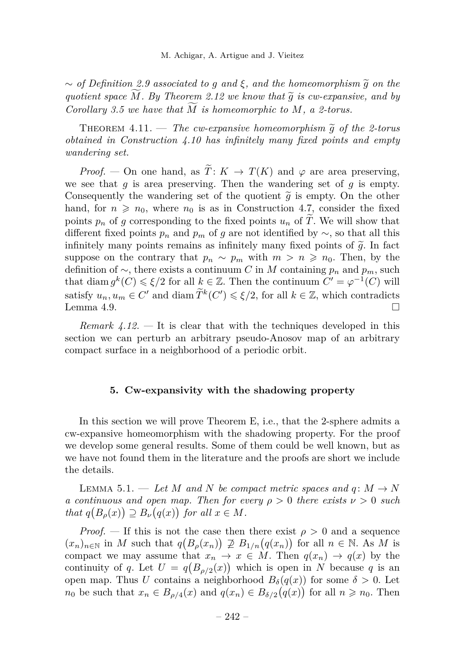$\sim$  *of Definition* [2.9](#page-9-1) *associated to g and*  $ξ$ *, and the homeomorphism*  $\tilde{g}$  *on the quotient space*  $M$ *. By Theorem [2.12](#page-11-2) we know that*  $\tilde{q}$  *is cw-expansive, and by Corollary* [3.5](#page-15-1) *we have that M is homeomorphic to M*, *a 2-torus.* 

THEOREM  $4.11.$  — *The cw-expansive homeomorphism*  $\tilde{q}$  of the 2-torus *obtained in Construction [4.10](#page-21-1) has infinitely many fixed points and empty wandering set.*

*Proof.* — On one hand, as  $\widetilde{T}: K \to T(K)$  and  $\varphi$  are area preserving, we see that  $q$  is area preserving. Then the wandering set of  $q$  is empty. Consequently the wandering set of the quotient  $\tilde{q}$  is empty. On the other hand, for  $n \geq n_0$ , where  $n_0$  is as in Construction [4.7,](#page-20-1) consider the fixed points  $p_n$  of *g* corresponding to the fixed points  $u_n$  of  $\widetilde{T}$ . We will show that different fixed points  $p_n$  and  $p_m$  of *g* are not identified by  $\sim$ , so that all this infinitely many points remains as infinitely many fixed points of  $\tilde{g}$ . In fact suppose on the contrary that  $p_n \sim p_m$  with  $m > n \geq n_0$ . Then, by the definition of  $\sim$ , there exists a continuum *C* in *M* containing  $p_n$  and  $p_m$ , such that diam  $g^k(C) \le \xi/2$  for all  $k \in \mathbb{Z}$ . Then the continuum  $C' = \varphi^{-1}(C)$  will satisfy  $u_n, u_m \in C'$  and diam  $\widetilde{T}^k(C') \leq \xi/2$ , for all  $k \in \mathbb{Z}$ , which contradicts Lemma [4.9.](#page-21-2)

*Remark 4.12. —* It is clear that with the techniques developed in this section we can perturb an arbitrary pseudo-Anosov map of an arbitrary compact surface in a neighborhood of a periodic orbit.

#### **5. Cw-expansivity with the shadowing property**

<span id="page-22-0"></span>In this section we will prove Theorem [E,](#page-6-0) i.e., that the 2-sphere admits a cw-expansive homeomorphism with the shadowing property. For the proof we develop some general results. Some of them could be well known, but as we have not found them in the literature and the proofs are short we include the details.

<span id="page-22-1"></span>LEMMA 5.1. — Let *M* and *N* be compact metric spaces and  $q: M \to N$ *a continuous and open map. Then for every ρ >* 0 *there exists ν >* 0 *such that*  $q(B_\rho(x)) \supseteq B_\nu(q(x))$  *for all*  $x \in M$ *.* 

*Proof.* — If this is not the case then there exist  $\rho > 0$  and a sequence  $(x_n)_{n\in\mathbb{N}}$  in *M* such that  $q(B_\rho(x_n)) \not\supseteq B_{1/n}(q(x_n))$  for all  $n \in \mathbb{N}$ . As *M* is compact we may assume that  $x_n \to x \in M$ . Then  $q(x_n) \to q(x)$  by the continuity of *q*. Let  $U = q(B_{\rho/2}(x))$  which is open in *N* because *q* is an open map. Thus *U* contains a neighborhood  $B_\delta(q(x))$  for some  $\delta > 0$ . Let *n*<sub>0</sub> be such that  $x_n \in B_{\rho/4}(x)$  and  $q(x_n) \in B_{\delta/2}(q(x))$  for all  $n \geq n_0$ . Then

 $-242-$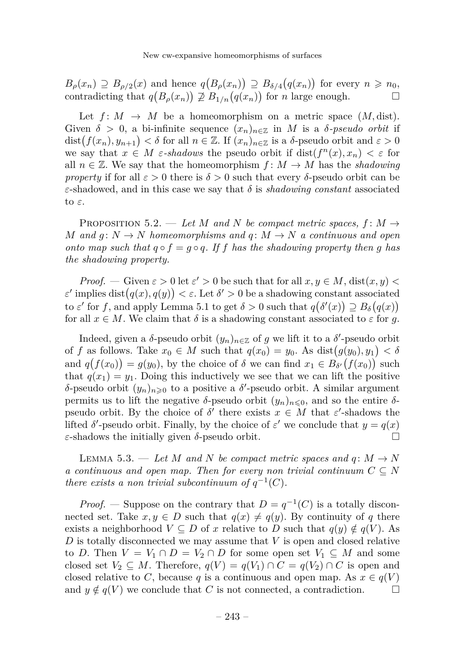$B_{\rho}(x_n) \supseteq B_{\rho/2}(x)$  and hence  $q(B_{\rho}(x_n)) \supseteq B_{\delta/4}(q(x_n))$  for every  $n \geq n_0$ , contradicting that  $q(B_\rho(x_n)) \not\supseteq B_{1/n}(q(x_n))$  for *n* large enough.

Let  $f: M \to M$  be a homeomorphism on a metric space  $(M, dist)$ . Given  $\delta > 0$ , a bi-infinite sequence  $(x_n)_{n \in \mathbb{Z}}$  in M is a  $\delta$ -pseudo orbit if dist $(f(x_n), y_{n+1}) < \delta$  for all  $n \in \mathbb{Z}$ . If  $(x_n)_{n \in \mathbb{Z}}$  is a  $\delta$ -pseudo orbit and  $\varepsilon > 0$ we say that  $x \in M$  *ε*-*shadows* the pseudo orbit if  $dist(f^{n}(x), x_{n}) < \varepsilon$  for all  $n \in \mathbb{Z}$ . We say that the homeomorphism  $f: M \to M$  has the *shadowing property* if for all  $\varepsilon > 0$  there is  $\delta > 0$  such that every *δ*-pseudo orbit can be *ε*-shadowed, and in this case we say that *δ* is *shadowing constant* associated to *ε*.

<span id="page-23-1"></span>PROPOSITION 5.2. — Let M and N be compact metric spaces,  $f: M \rightarrow$ *M* and  $q: N \to N$  *homeomorphisms and*  $q: M \to N$  *a continuous and open onto map such that*  $q \circ f = q \circ q$ . If *f* has the shadowing property then *g* has *the shadowing property.*

*Proof.* — Given  $\varepsilon > 0$  let  $\varepsilon' > 0$  be such that for all  $x, y \in M$ , dist $(x, y) <$  $\varepsilon'$  implies dist $(q(x), q(y)) < \varepsilon$ . Let  $\delta' > 0$  be a shadowing constant associated to  $\varepsilon'$  for f, and apply Lemma [5.1](#page-22-1) to get  $\delta > 0$  such that  $q(\delta'(x)) \supseteq B_{\delta}(q(x))$ for all  $x \in M$ . We claim that  $\delta$  is a shadowing constant associated to  $\varepsilon$  for *g*.

Indeed, given a  $\delta$ -pseudo orbit  $(y_n)_{n \in \mathbb{Z}}$  of  $g$  we lift it to a  $\delta'$ -pseudo orbit of *f* as follows. Take  $x_0 \in M$  such that  $q(x_0) = y_0$ . As  $dist(g(y_0), y_1) < \delta$ and  $q(f(x_0)) = g(y_0)$ , by the choice of  $\delta$  we can find  $x_1 \in B_{\delta'}(f(x_0))$  such that  $q(x_1) = y_1$ . Doing this inductively we see that we can lift the positive *δ*-pseudo orbit  $(y_n)_{n\geqslant 0}$  to a positive a *δ*'-pseudo orbit. A similar argument permits us to lift the negative *δ*-pseudo orbit  $(y_n)_{n\leq 0}$ , and so the entire *δ*pseudo orbit. By the choice of  $\delta'$  there exists  $x \in M$  that  $\varepsilon'$ -shadows the lifted  $\delta'$ -pseudo orbit. Finally, by the choice of  $\varepsilon'$  we conclude that  $y = q(x)$ *ε*-shadows the initially given *δ*-pseudo orbit.  $\Box$ 

<span id="page-23-0"></span>LEMMA 5.3. — Let M and N be compact metric spaces and  $q: M \to N$ *a continuous and open map. Then for every non trivial continuum*  $C \subseteq N$ *there exists a non trivial subcontinuum of*  $q^{-1}(C)$ *.* 

*Proof.* — Suppose on the contrary that  $D = q^{-1}(C)$  is a totally disconnected set. Take  $x, y \in D$  such that  $q(x) \neq q(y)$ . By continuity of *q* there exists a neighborhood  $V \subseteq D$  of x relative to D such that  $q(y) \notin q(V)$ . As *D* is totally disconnected we may assume that *V* is open and closed relative to *D*. Then  $V = V_1 \cap D = V_2 \cap D$  for some open set  $V_1 \subseteq M$  and some closed set  $V_2 \subseteq M$ . Therefore,  $q(V) = q(V_1) \cap C = q(V_2) \cap C$  is open and closed relative to *C*, because *q* is a continuous and open map. As  $x \in q(V)$ and  $y \notin q(V)$  we conclude that *C* is not connected, a contradiction.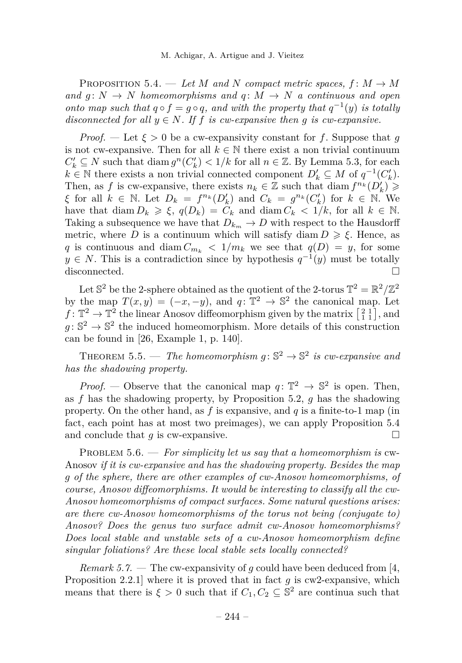<span id="page-24-1"></span>PROPOSITION 5.4. — Let M and N compact metric spaces,  $f: M \to M$ *and*  $g: N \to N$  *homeomorphisms and*  $g: M \to N$  *a continuous and open onto map such that*  $q \circ f = g \circ q$ *, and with the property that*  $q^{-1}(y)$  *is totally disconnected for all*  $y \in N$ *. If f is cw-expansive then q is cw-expansive.* 

*Proof.* — Let  $\xi > 0$  be a cw-expansivity constant for f. Suppose that g is not cw-expansive. Then for all  $k \in \mathbb{N}$  there exist a non trivial continuum *C*<sup> $'$ </sup><sub>*k*</sub> ⊆ *N* such that diam  $g^n(C'_k)$  < 1/*k* for all *n* ∈ ℤ. By Lemma [5.3,](#page-23-0) for each  $k \in \mathbb{N}$  there exists a non trivial connected component  $D'_k \subseteq M$  of  $q^{-1}(C'_k)$ . Then, as *f* is cw-expansive, there exists  $n_k \in \mathbb{Z}$  such that diam  $f^{n_k}(D'_k) \geqslant$ *ξ* for all  $k \in \mathbb{N}$ . Let  $D_k = f^{n_k}(D'_k)$  and  $C_k = g^{n_k}(C'_k)$  for  $k \in \mathbb{N}$ . We have that diam  $D_k \ge \xi$ ,  $q(D_k) = C_k$  and diam  $C_k < 1/k$ , for all  $k \in \mathbb{N}$ . Taking a subsequence we have that  $D_{k_m} \to D$  with respect to the Hausdorff metric, where *D* is a continuum which will satisfy diam  $D \geq \xi$ . Hence, as *q* is continuous and diam  $C_{m_k}$  <  $1/m_k$  we see that  $q(D) = y$ , for some  $y \in N$ . This is a contradiction since by hypothesis  $q^{-1}(y)$  must be totally disconnected.

Let  $\mathbb{S}^2$  be the 2-sphere obtained as the quotient of the 2-torus  $\mathbb{T}^2 = \mathbb{R}^2/\mathbb{Z}^2$ by the map  $T(x, y) = (-x, -y)$ , and  $q: \mathbb{T}^2 \to \mathbb{S}^2$  the canonical map. Let  $f: \mathbb{T}^2 \to \mathbb{T}^2$  the linear Anosov diffeomorphism given by the matrix  $\begin{bmatrix} 2 & 1 \\ 1 & 1 \end{bmatrix}$ , and  $g: \mathbb{S}^2 \to \mathbb{S}^2$  the induced homeomorphism. More details of this construction can be found in [\[26,](#page-26-4) Example 1, p. 140].

<span id="page-24-0"></span>THEOREM 5.5. — The homeomorphism  $g: \mathbb{S}^2 \to \mathbb{S}^2$  is cw-expansive and *has the shadowing property.*

*Proof.* — Observe that the canonical map  $q: \mathbb{T}^2 \to \mathbb{S}^2$  is open. Then, as *f* has the shadowing property, by Proposition [5.2,](#page-23-1) *g* has the shadowing property. On the other hand, as *f* is expansive, and *q* is a finite-to-1 map (in fact, each point has at most two preimages), we can apply Proposition [5.4](#page-24-1) and conclude that *g* is cw-expansive.

PROBLEM 5.6. — For simplicity let us say that a homeomorphism is cw-Anosov *if it is cw-expansive and has the shadowing property. Besides the map g of the sphere, there are other examples of cw-Anosov homeomorphisms, of course, Anosov diffeomorphisms. It would be interesting to classify all the cw-Anosov homeomorphisms of compact surfaces. Some natural questions arises: are there cw-Anosov homeomorphisms of the torus not being (conjugate to) Anosov? Does the genus two surface admit cw-Anosov homeomorphisms? Does local stable and unstable sets of a cw-Anosov homeomorphism define singular foliations? Are these local stable sets locally connected?*

*Remark 5.7. —* The cw-expansivity of *g* could have been deduced from [\[4,](#page-25-13) Proposition 2.2.1] where it is proved that in fact *g* is cw2-expansive, which means that there is  $\xi > 0$  such that if  $C_1, C_2 \subseteq \mathbb{S}^2$  are continua such that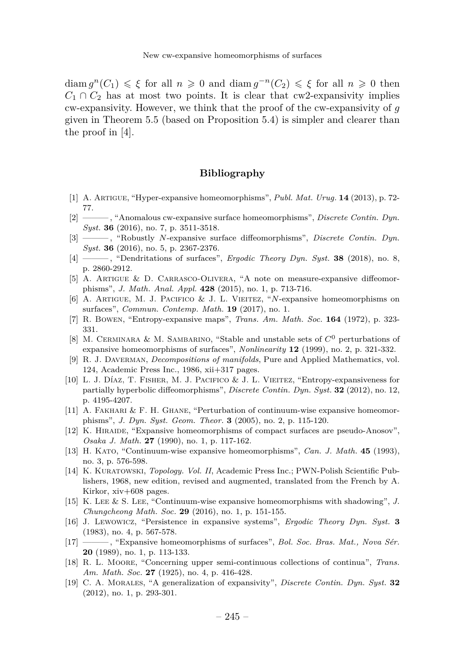diam  $g^{n}(C_1) \leq \xi$  for all  $n \geq 0$  and diam  $g^{-n}(C_2) \leq \xi$  for all  $n \geq 0$  then  $C_1 \cap C_2$  has at most two points. It is clear that cw2-expansivity implies cw-expansivity. However, we think that the proof of the cw-expansivity of *g* given in Theorem [5.5](#page-24-0) (based on Proposition [5.4\)](#page-24-1) is simpler and clearer than the proof in [\[4\]](#page-25-13).

#### **Bibliography**

- <span id="page-25-2"></span>[1] A. Artigue, "Hyper-expansive homeomorphisms", *Publ. Mat. Urug.* **14** (2013), p. 72- 77.
- <span id="page-25-15"></span>[2] ——— , "Anomalous cw-expansive surface homeomorphisms", *Discrete Contin. Dyn. Syst.* **36** (2016), no. 7, p. 3511-3518.
- <span id="page-25-14"></span>[3] ——— , "Robustly *N*-expansive surface diffeomorphisms", *Discrete Contin. Dyn. Syst.* **36** (2016), no. 5, p. 2367-2376.
- <span id="page-25-13"></span>[4] ——— , "Dendritations of surfaces", *Ergodic Theory Dyn. Syst.* **38** (2018), no. 8, p. 2860-2912.
- <span id="page-25-1"></span>[5] A. Artigue & D. Carrasco-Olivera, "A note on measure-expansive diffeomorphisms", *J. Math. Anal. Appl.* **428** (2015), no. 1, p. 713-716.
- <span id="page-25-12"></span>[6] A. Artigue, M. J. Pacifico & J. L. Vieitez, "*N*-expansive homeomorphisms on surfaces", *Commun. Contemp. Math.* **19** (2017), no. 1.
- <span id="page-25-3"></span>[7] R. Bowen, "Entropy-expansive maps", *Trans. Am. Math. Soc.* **164** (1972), p. 323- 331.
- <span id="page-25-9"></span>[8] M. Cerminara & M. Sambarino, "Stable and unstable sets of *C*<sup>0</sup> perturbations of expansive homeomorphisms of surfaces", *Nonlinearity* **12** (1999), no. 2, p. 321-332.
- <span id="page-25-17"></span>[9] R. J. Daverman, *Decompositions of manifolds*, Pure and Applied Mathematics, vol. 124, Academic Press Inc., 1986, xii+317 pages.
- <span id="page-25-5"></span>[10] L. J. Díaz, T. Fisher, M. J. Pacifico & J. L. Vieitez, "Entropy-expansiveness for partially hyperbolic diffeomorphisms", *Discrete Contin. Dyn. Syst.* **32** (2012), no. 12, p. 4195-4207.
- <span id="page-25-10"></span>[11] A. FAKHARI & F. H. GHANE, "Perturbation of continuum-wise expansive homeomorphisms", *J. Dyn. Syst. Geom. Theor.* **3** (2005), no. 2, p. 115-120.
- <span id="page-25-6"></span>[12] K. Hiraide, "Expansive homeomorphisms of compact surfaces are pseudo-Anosov", *Osaka J. Math.* **27** (1990), no. 1, p. 117-162.
- <span id="page-25-4"></span>[13] H. Kato, "Continuum-wise expansive homeomorphisms", *Can. J. Math.* **45** (1993), no. 3, p. 576-598.
- <span id="page-25-18"></span>[14] K. Kuratowski, *Topology. Vol. II*, Academic Press Inc.; PWN-Polish Scientific Publishers, 1968, new edition, revised and augmented, translated from the French by A. Kirkor, xiv+608 pages.
- <span id="page-25-16"></span>[15] K. Lee & S. Lee, "Continuum-wise expansive homeomorphisms with shadowing", *J. Chungcheong Math. Soc.* **29** (2016), no. 1, p. 151-155.
- <span id="page-25-8"></span>[16] J. Lewowicz, "Persistence in expansive systems", *Ergodic Theory Dyn. Syst.* **3** (1983), no. 4, p. 567-578.
- <span id="page-25-7"></span>[17] ——— , "Expansive homeomorphisms of surfaces", *Bol. Soc. Bras. Mat., Nova Sér.* **20** (1989), no. 1, p. 113-133.
- <span id="page-25-11"></span>[18] R. L. Moore, "Concerning upper semi-continuous collections of continua", *Trans. Am. Math. Soc.* **27** (1925), no. 4, p. 416-428.
- <span id="page-25-0"></span>[19] C. A. Morales, "A generalization of expansivity", *Discrete Contin. Dyn. Syst.* **32** (2012), no. 1, p. 293-301.